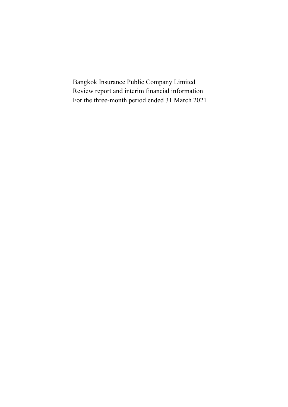Bangkok Insurance Public Company Limited Review report and interim financial information For the three-month period ended 31 March 2021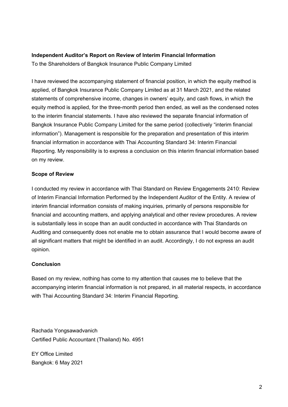### **Independent Auditor's Report on Review of Interim Financial Information**

To the Shareholders of Bangkok Insurance Public Company Limited

I have reviewed the accompanying statement of financial position, in which the equity method is applied, of Bangkok Insurance Public Company Limited as at 31 March 2021, and the related statements of comprehensive income, changes in owners' equity, and cash flows, in which the equity method is applied, for the three-month period then ended, as well as the condensed notes to the interim financial statements. I have also reviewed the separate financial information of Bangkok Insurance Public Company Limited for the same period (collectively "interim financial information"). Management is responsible for the preparation and presentation of this interim financial information in accordance with Thai Accounting Standard 34: Interim Financial Reporting. My responsibility is to express a conclusion on this interim financial information based on my review.

### **Scope of Review**

I conducted my review in accordance with Thai Standard on Review Engagements 2410: Review of Interim Financial Information Performed by the Independent Auditor of the Entity. A review of interim financial information consists of making inquiries, primarily of persons responsible for financial and accounting matters, and applying analytical and other review procedures. A review is substantially less in scope than an audit conducted in accordance with Thai Standards on Auditing and consequently does not enable me to obtain assurance that I would become aware of all significant matters that might be identified in an audit. Accordingly, I do not express an audit opinion.

## **Conclusion**

Based on my review, nothing has come to my attention that causes me to believe that the accompanying interim financial information is not prepared, in all material respects, in accordance with Thai Accounting Standard 34: Interim Financial Reporting.

Rachada Yongsawadvanich Certified Public Accountant (Thailand) No. 4951

EY Office Limited Bangkok: 6 May 2021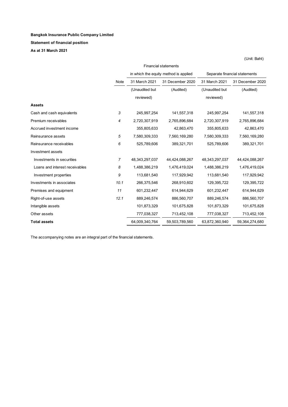### **Statement of financial position**

**As at 31 March 2021**

|                                | <b>Financial statements</b> |                |                                       |                   |                               |  |  |
|--------------------------------|-----------------------------|----------------|---------------------------------------|-------------------|-------------------------------|--|--|
|                                |                             |                | in which the equity method is applied |                   | Separate financial statements |  |  |
|                                | Note                        | 31 March 2021  | 31 December 2020                      | 31 March 2021     | 31 December 2020              |  |  |
|                                |                             | (Unaudited but | (Audited)                             | (Unaudited but    | (Audited)                     |  |  |
|                                |                             | reviewed)      |                                       | reviewed)         |                               |  |  |
| <b>Assets</b>                  |                             |                |                                       |                   |                               |  |  |
| Cash and cash equivalents      | 3                           | 245,997,254    | 141,557,318                           | 245,997,254       | 141,557,318                   |  |  |
| Premium receivables            | 4                           | 2,720,307,919  | 2,765,896,684                         | 2,720,307,919     | 2,765,896,684                 |  |  |
| Accrued investment income      |                             | 355,805,633    | 42,863,470                            | 355,805,633       | 42,863,470                    |  |  |
| Reinsurance assets             | 5                           | 7,580,309,333  | 7,560,169,280                         | 7,580,309,333     | 7,560,169,280                 |  |  |
| Reinsurance receivables        | 6                           | 525,789,606    | 389,321,701                           | 525,789,606       | 389,321,701                   |  |  |
| Investment assets              |                             |                |                                       |                   |                               |  |  |
| Investments in securities      | 7                           | 48,343,297,037 | 44,424,088,267                        | 48, 343, 297, 037 | 44,424,088,267                |  |  |
| Loans and interest receivables | 8                           | 1,488,386,219  | 1,476,419,024                         | 1,488,386,219     | 1,476,419,024                 |  |  |
| Investment properties          | 9                           | 113,681,540    | 117,929,942                           | 113,681,540       | 117,929,942                   |  |  |
| Investments in associates      | 10.1                        | 266,375,546    | 268,910,602                           | 129,395,722       | 129,395,722                   |  |  |
| Premises and equipment         | 11                          | 601,232,447    | 614,944,629                           | 601,232,447       | 614,944,629                   |  |  |
| Right-of-use assets            | 12.1                        | 889,246,574    | 886,560,707                           | 889,246,574       | 886,560,707                   |  |  |
| Intangible assets              |                             | 101,873,329    | 101,675,828                           | 101,873,329       | 101,675,828                   |  |  |
| Other assets                   |                             | 777,038,327    | 713,452,108                           | 777,038,327       | 713,452,108                   |  |  |
| <b>Total assets</b>            |                             | 64,009,340,764 | 59,503,789,560                        | 63,872,360,940    | 59,364,274,680                |  |  |

(Unit: Baht)

The accompanying notes are an integral part of the financial statements.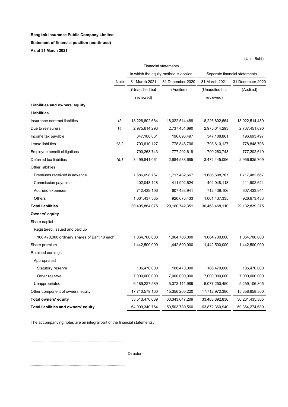#### **Statement of financial position (continued)**

**As at 31 March 2021**

|                                             | <b>Financial statements</b> |                |                                       |                |                               |  |  |  |
|---------------------------------------------|-----------------------------|----------------|---------------------------------------|----------------|-------------------------------|--|--|--|
|                                             |                             |                | in which the equity method is applied |                | Separate financial statements |  |  |  |
|                                             | Note                        | 31 March 2021  | 31 December 2020                      | 31 March 2021  | 31 December 2020              |  |  |  |
|                                             |                             | (Unaudited but | (Audited)                             | (Unaudited but | (Audited)                     |  |  |  |
|                                             |                             | reviewed)      |                                       | reviewed)      |                               |  |  |  |
| Liabilities and owners' equity              |                             |                |                                       |                |                               |  |  |  |
| <b>Liabilities</b>                          |                             |                |                                       |                |                               |  |  |  |
| Insurance contract liabilities              | 13                          | 18,226,802,664 | 18,022,514,489                        | 18,226,802,664 | 18,022,514,489                |  |  |  |
| Due to reinsurers                           | 14                          | 2,975,614,293  | 2,737,451,690                         | 2,975,614,293  | 2,737,451,690                 |  |  |  |
| Income tax payable                          |                             | 347,108,861    | 196,693,497                           | 347,108,861    | 196,693,497                   |  |  |  |
| Lease liabilities                           | 12.2                        | 793,610,127    | 778,848,706                           | 793,610,127    | 778,848,706                   |  |  |  |
| Employee benefit obligations                |                             | 790,263,743    | 777,202,619                           | 790,263,743    | 777,202,619                   |  |  |  |
| Deferred tax liabilities                    | 15.1                        | 3,499,841,061  | 2,984,538,685                         | 3,472,445,096  | 2,956,635,709                 |  |  |  |
| Other liabilities                           |                             |                |                                       |                |                               |  |  |  |
| Premiums received in advance                |                             | 1,686,698,767  | 1,717,482,667                         | 1,686,698,767  | 1,717,482,667                 |  |  |  |
| Commission payables                         |                             | 402,048,118    | 411,902,624                           | 402,048,118    | 411,902,624                   |  |  |  |
| Accrued expenses                            |                             | 712,439,106    | 607,433,941                           | 712,439,106    | 607,433,941                   |  |  |  |
| Others                                      |                             | 1,061,437,335  | 926,673,433                           | 1,061,437,335  | 926,673,433                   |  |  |  |
| <b>Total liabilities</b>                    |                             | 30,495,864,075 | 29,160,742,351                        | 30,468,468,110 | 29,132,839,375                |  |  |  |
| Owners' equity                              |                             |                |                                       |                |                               |  |  |  |
| Share capital                               |                             |                |                                       |                |                               |  |  |  |
| Registered, issued and paid up              |                             |                |                                       |                |                               |  |  |  |
| 106,470,000 ordinary shares of Baht 10 each |                             | 1,064,700,000  | 1,064,700,000                         | 1,064,700,000  | 1,064,700,000                 |  |  |  |
| Share premium                               |                             | 1,442,500,000  | 1,442,500,000                         | 1,442,500,000  | 1,442,500,000                 |  |  |  |
| Retained earnings                           |                             |                |                                       |                |                               |  |  |  |
| Appropriated                                |                             |                |                                       |                |                               |  |  |  |
| Statutory reserve                           |                             | 106,470,000    | 106,470,000                           | 106,470,000    | 106,470,000                   |  |  |  |
| Other reserve                               |                             | 7,000,000,000  | 7,000,000,000                         | 7,000,000,000  | 7,000,000,000                 |  |  |  |
| Unappropriated                              |                             | 6,189,227,589  | 5,373,111,989                         | 6,077,250,450  | 5,259,106,805                 |  |  |  |
| Other component of owners' equity           |                             | 17,710,579,100 | 15,356,265,220                        | 17,712,972,380 | 15,358,658,500                |  |  |  |
| <b>Total owners' equity</b>                 |                             | 33,513,476,689 | 30, 343, 047, 209                     | 33,403,892,830 | 30,231,435,305                |  |  |  |
| Total liabilities and owners' equity        |                             | 64,009,340,764 | 59,503,789,560                        | 63,872,360,940 | 59,364,274,680                |  |  |  |

The accompanying notes are an integral part of the financial statements.

Directors

(Unit: Baht)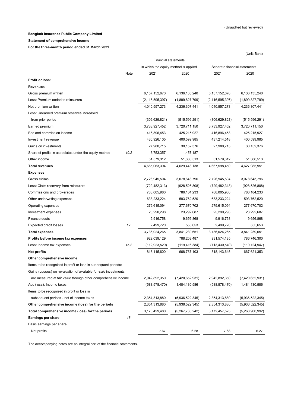(Unit: Baht)

#### **Bangkok Insurance Public Company Limited**

**Statement of comprehensive income**

**For the three-month period ended 31 March 2021**

| in which the equity method is applied<br>Separate financial statements<br>2020<br>Note<br>2021<br>2020<br>2021<br>Profit or loss:<br><b>Revenues</b><br>Gross premium written<br>6,157,152,670<br>6,136,135,240<br>6,157,152,670<br>6,136,135,240<br>Less: Premium ceded to reinsurers<br>(2, 116, 595, 397)<br>(1,899,827,799)<br>(2, 116, 595, 397)<br>(1,899,827,799)<br>Net premium written<br>4,040,557,273<br>4,236,307,441<br>4,040,557,273<br>4,236,307,441<br>Less: Unearned premium reserves increased<br>from prior period<br>(306, 629, 821)<br>(515, 596, 291)<br>(306, 629, 821)<br>(515, 596, 291)<br>3,733,927,452<br>3,720,711,150<br>3,733,927,452<br>3,720,711,150<br>Earned premium<br>416,896,453<br>425,215,927<br>Fee and commission income<br>416,896,453<br>425,215,927<br>430,926,105<br>400,599,985<br>437,214,518<br>400,599,985<br>Investment revenue<br>Gains on investments<br>27,980,715<br>30, 152, 376<br>27,980,715<br>30,152,376<br>10.2<br>3,753,357<br>1,457,187<br>Share of profits in associates under the equity method<br>Other income<br>51,579,312<br>51,306,513<br>51,579,312<br>51,306,513<br><b>Total revenues</b><br>4,665,063,394<br>4,629,443,138<br>4,667,598,450<br>4,627,985,951<br><b>Expenses</b><br>Gross claims<br>2,726,945,504<br>3,078,643,796<br>2,726,945,504<br>3,078,643,796<br>Less: Claim recovery from reinsurers<br>(729, 482, 313)<br>(928, 526, 808)<br>(928, 526, 808)<br>(729,482,313)<br>Commissions and brokerages<br>788,005,980<br>786, 184, 233<br>786,184,233<br>788,005,980<br>633,233,224<br>593,762,520<br>633,233,224<br>593,762,520<br>Other underwriting expenses<br>279,615,094<br>277,670,702<br>279,615,094<br>277,670,702<br>Operating expenses<br>25,290,298<br>25,290,298<br>23,292,687<br>Investment expenses<br>23,292,687<br>Finance costs<br>9,916,758<br>9,656,868<br>9,916,758<br>9,656,868<br>17<br><b>Expected credit losses</b><br>2,499,720<br>555,653<br>2,499,720<br>555,653<br>3,841,239,651<br><b>Total expenses</b><br>3,736,024,265<br>3,736,024,265<br>3,841,239,651<br>929,039,129<br>788,203,487<br>931,574,185<br>786,746,300<br>Profits before income tax expenses<br>15.2<br>Less: Income tax expenses<br>(112, 923, 529)<br>(119,416,384)<br>(113,430,540)<br>(119, 124, 947)<br>816,115,600<br>668,787,103<br>818, 143, 645<br>667,621,353<br>Net profits<br>Other comprehensive income:<br>Items to be recognised in profit or loss in subsequent periods:<br>Gains (Losses) on revaluation of available-for-sale investments<br>are measured at fair value through other comprehensive income<br>2,942,892,350<br>(7,420,652,931)<br>2,942,892,350<br>(7,420,652,931)<br>Add (less): Income taxes<br>(588, 578, 470)<br>1,484,130,586<br>(588,578,470)<br>1,484,130,586<br>Items to be recognised in profit or loss in<br>2,354,313,880<br>2,354,313,880<br>subsequent periods - net of income taxes<br>(5,936,522,345)<br>(5,936,522,345)<br>Other comprehensive income (loss) for the periods<br>2,354,313,880<br>(5,936,522,345)<br>2,354,313,880<br>(5,936,522,345)<br>Total comprehensive income (loss) for the periods<br>(5,268,900,992)<br>3,170,429,480<br>(5,267,735,242)<br>3,172,457,525<br>Earnings per share:<br>18<br>Basic earnings per share<br>Net profits<br>7.67<br>6.28<br>6.27<br>7.68 | <b>Financial statements</b> |  |  |  |  |  |  |
|----------------------------------------------------------------------------------------------------------------------------------------------------------------------------------------------------------------------------------------------------------------------------------------------------------------------------------------------------------------------------------------------------------------------------------------------------------------------------------------------------------------------------------------------------------------------------------------------------------------------------------------------------------------------------------------------------------------------------------------------------------------------------------------------------------------------------------------------------------------------------------------------------------------------------------------------------------------------------------------------------------------------------------------------------------------------------------------------------------------------------------------------------------------------------------------------------------------------------------------------------------------------------------------------------------------------------------------------------------------------------------------------------------------------------------------------------------------------------------------------------------------------------------------------------------------------------------------------------------------------------------------------------------------------------------------------------------------------------------------------------------------------------------------------------------------------------------------------------------------------------------------------------------------------------------------------------------------------------------------------------------------------------------------------------------------------------------------------------------------------------------------------------------------------------------------------------------------------------------------------------------------------------------------------------------------------------------------------------------------------------------------------------------------------------------------------------------------------------------------------------------------------------------------------------------------------------------------------------------------------------------------------------------------------------------------------------------------------------------------------------------------------------------------------------------------------------------------------------------------------------------------------------------------------------------------------------------------------------------------------------------------------------------------------------------------------------------------------------------------------------------------------------------------------------------------------------------------------------------------------------------------------------------------------------------------------------------|-----------------------------|--|--|--|--|--|--|
|                                                                                                                                                                                                                                                                                                                                                                                                                                                                                                                                                                                                                                                                                                                                                                                                                                                                                                                                                                                                                                                                                                                                                                                                                                                                                                                                                                                                                                                                                                                                                                                                                                                                                                                                                                                                                                                                                                                                                                                                                                                                                                                                                                                                                                                                                                                                                                                                                                                                                                                                                                                                                                                                                                                                                                                                                                                                                                                                                                                                                                                                                                                                                                                                                                                                                                                                  |                             |  |  |  |  |  |  |
|                                                                                                                                                                                                                                                                                                                                                                                                                                                                                                                                                                                                                                                                                                                                                                                                                                                                                                                                                                                                                                                                                                                                                                                                                                                                                                                                                                                                                                                                                                                                                                                                                                                                                                                                                                                                                                                                                                                                                                                                                                                                                                                                                                                                                                                                                                                                                                                                                                                                                                                                                                                                                                                                                                                                                                                                                                                                                                                                                                                                                                                                                                                                                                                                                                                                                                                                  |                             |  |  |  |  |  |  |
|                                                                                                                                                                                                                                                                                                                                                                                                                                                                                                                                                                                                                                                                                                                                                                                                                                                                                                                                                                                                                                                                                                                                                                                                                                                                                                                                                                                                                                                                                                                                                                                                                                                                                                                                                                                                                                                                                                                                                                                                                                                                                                                                                                                                                                                                                                                                                                                                                                                                                                                                                                                                                                                                                                                                                                                                                                                                                                                                                                                                                                                                                                                                                                                                                                                                                                                                  |                             |  |  |  |  |  |  |
|                                                                                                                                                                                                                                                                                                                                                                                                                                                                                                                                                                                                                                                                                                                                                                                                                                                                                                                                                                                                                                                                                                                                                                                                                                                                                                                                                                                                                                                                                                                                                                                                                                                                                                                                                                                                                                                                                                                                                                                                                                                                                                                                                                                                                                                                                                                                                                                                                                                                                                                                                                                                                                                                                                                                                                                                                                                                                                                                                                                                                                                                                                                                                                                                                                                                                                                                  |                             |  |  |  |  |  |  |
|                                                                                                                                                                                                                                                                                                                                                                                                                                                                                                                                                                                                                                                                                                                                                                                                                                                                                                                                                                                                                                                                                                                                                                                                                                                                                                                                                                                                                                                                                                                                                                                                                                                                                                                                                                                                                                                                                                                                                                                                                                                                                                                                                                                                                                                                                                                                                                                                                                                                                                                                                                                                                                                                                                                                                                                                                                                                                                                                                                                                                                                                                                                                                                                                                                                                                                                                  |                             |  |  |  |  |  |  |
|                                                                                                                                                                                                                                                                                                                                                                                                                                                                                                                                                                                                                                                                                                                                                                                                                                                                                                                                                                                                                                                                                                                                                                                                                                                                                                                                                                                                                                                                                                                                                                                                                                                                                                                                                                                                                                                                                                                                                                                                                                                                                                                                                                                                                                                                                                                                                                                                                                                                                                                                                                                                                                                                                                                                                                                                                                                                                                                                                                                                                                                                                                                                                                                                                                                                                                                                  |                             |  |  |  |  |  |  |
|                                                                                                                                                                                                                                                                                                                                                                                                                                                                                                                                                                                                                                                                                                                                                                                                                                                                                                                                                                                                                                                                                                                                                                                                                                                                                                                                                                                                                                                                                                                                                                                                                                                                                                                                                                                                                                                                                                                                                                                                                                                                                                                                                                                                                                                                                                                                                                                                                                                                                                                                                                                                                                                                                                                                                                                                                                                                                                                                                                                                                                                                                                                                                                                                                                                                                                                                  |                             |  |  |  |  |  |  |
|                                                                                                                                                                                                                                                                                                                                                                                                                                                                                                                                                                                                                                                                                                                                                                                                                                                                                                                                                                                                                                                                                                                                                                                                                                                                                                                                                                                                                                                                                                                                                                                                                                                                                                                                                                                                                                                                                                                                                                                                                                                                                                                                                                                                                                                                                                                                                                                                                                                                                                                                                                                                                                                                                                                                                                                                                                                                                                                                                                                                                                                                                                                                                                                                                                                                                                                                  |                             |  |  |  |  |  |  |
|                                                                                                                                                                                                                                                                                                                                                                                                                                                                                                                                                                                                                                                                                                                                                                                                                                                                                                                                                                                                                                                                                                                                                                                                                                                                                                                                                                                                                                                                                                                                                                                                                                                                                                                                                                                                                                                                                                                                                                                                                                                                                                                                                                                                                                                                                                                                                                                                                                                                                                                                                                                                                                                                                                                                                                                                                                                                                                                                                                                                                                                                                                                                                                                                                                                                                                                                  |                             |  |  |  |  |  |  |
|                                                                                                                                                                                                                                                                                                                                                                                                                                                                                                                                                                                                                                                                                                                                                                                                                                                                                                                                                                                                                                                                                                                                                                                                                                                                                                                                                                                                                                                                                                                                                                                                                                                                                                                                                                                                                                                                                                                                                                                                                                                                                                                                                                                                                                                                                                                                                                                                                                                                                                                                                                                                                                                                                                                                                                                                                                                                                                                                                                                                                                                                                                                                                                                                                                                                                                                                  |                             |  |  |  |  |  |  |
|                                                                                                                                                                                                                                                                                                                                                                                                                                                                                                                                                                                                                                                                                                                                                                                                                                                                                                                                                                                                                                                                                                                                                                                                                                                                                                                                                                                                                                                                                                                                                                                                                                                                                                                                                                                                                                                                                                                                                                                                                                                                                                                                                                                                                                                                                                                                                                                                                                                                                                                                                                                                                                                                                                                                                                                                                                                                                                                                                                                                                                                                                                                                                                                                                                                                                                                                  |                             |  |  |  |  |  |  |
|                                                                                                                                                                                                                                                                                                                                                                                                                                                                                                                                                                                                                                                                                                                                                                                                                                                                                                                                                                                                                                                                                                                                                                                                                                                                                                                                                                                                                                                                                                                                                                                                                                                                                                                                                                                                                                                                                                                                                                                                                                                                                                                                                                                                                                                                                                                                                                                                                                                                                                                                                                                                                                                                                                                                                                                                                                                                                                                                                                                                                                                                                                                                                                                                                                                                                                                                  |                             |  |  |  |  |  |  |
|                                                                                                                                                                                                                                                                                                                                                                                                                                                                                                                                                                                                                                                                                                                                                                                                                                                                                                                                                                                                                                                                                                                                                                                                                                                                                                                                                                                                                                                                                                                                                                                                                                                                                                                                                                                                                                                                                                                                                                                                                                                                                                                                                                                                                                                                                                                                                                                                                                                                                                                                                                                                                                                                                                                                                                                                                                                                                                                                                                                                                                                                                                                                                                                                                                                                                                                                  |                             |  |  |  |  |  |  |
|                                                                                                                                                                                                                                                                                                                                                                                                                                                                                                                                                                                                                                                                                                                                                                                                                                                                                                                                                                                                                                                                                                                                                                                                                                                                                                                                                                                                                                                                                                                                                                                                                                                                                                                                                                                                                                                                                                                                                                                                                                                                                                                                                                                                                                                                                                                                                                                                                                                                                                                                                                                                                                                                                                                                                                                                                                                                                                                                                                                                                                                                                                                                                                                                                                                                                                                                  |                             |  |  |  |  |  |  |
|                                                                                                                                                                                                                                                                                                                                                                                                                                                                                                                                                                                                                                                                                                                                                                                                                                                                                                                                                                                                                                                                                                                                                                                                                                                                                                                                                                                                                                                                                                                                                                                                                                                                                                                                                                                                                                                                                                                                                                                                                                                                                                                                                                                                                                                                                                                                                                                                                                                                                                                                                                                                                                                                                                                                                                                                                                                                                                                                                                                                                                                                                                                                                                                                                                                                                                                                  |                             |  |  |  |  |  |  |
|                                                                                                                                                                                                                                                                                                                                                                                                                                                                                                                                                                                                                                                                                                                                                                                                                                                                                                                                                                                                                                                                                                                                                                                                                                                                                                                                                                                                                                                                                                                                                                                                                                                                                                                                                                                                                                                                                                                                                                                                                                                                                                                                                                                                                                                                                                                                                                                                                                                                                                                                                                                                                                                                                                                                                                                                                                                                                                                                                                                                                                                                                                                                                                                                                                                                                                                                  |                             |  |  |  |  |  |  |
|                                                                                                                                                                                                                                                                                                                                                                                                                                                                                                                                                                                                                                                                                                                                                                                                                                                                                                                                                                                                                                                                                                                                                                                                                                                                                                                                                                                                                                                                                                                                                                                                                                                                                                                                                                                                                                                                                                                                                                                                                                                                                                                                                                                                                                                                                                                                                                                                                                                                                                                                                                                                                                                                                                                                                                                                                                                                                                                                                                                                                                                                                                                                                                                                                                                                                                                                  |                             |  |  |  |  |  |  |
|                                                                                                                                                                                                                                                                                                                                                                                                                                                                                                                                                                                                                                                                                                                                                                                                                                                                                                                                                                                                                                                                                                                                                                                                                                                                                                                                                                                                                                                                                                                                                                                                                                                                                                                                                                                                                                                                                                                                                                                                                                                                                                                                                                                                                                                                                                                                                                                                                                                                                                                                                                                                                                                                                                                                                                                                                                                                                                                                                                                                                                                                                                                                                                                                                                                                                                                                  |                             |  |  |  |  |  |  |
|                                                                                                                                                                                                                                                                                                                                                                                                                                                                                                                                                                                                                                                                                                                                                                                                                                                                                                                                                                                                                                                                                                                                                                                                                                                                                                                                                                                                                                                                                                                                                                                                                                                                                                                                                                                                                                                                                                                                                                                                                                                                                                                                                                                                                                                                                                                                                                                                                                                                                                                                                                                                                                                                                                                                                                                                                                                                                                                                                                                                                                                                                                                                                                                                                                                                                                                                  |                             |  |  |  |  |  |  |
|                                                                                                                                                                                                                                                                                                                                                                                                                                                                                                                                                                                                                                                                                                                                                                                                                                                                                                                                                                                                                                                                                                                                                                                                                                                                                                                                                                                                                                                                                                                                                                                                                                                                                                                                                                                                                                                                                                                                                                                                                                                                                                                                                                                                                                                                                                                                                                                                                                                                                                                                                                                                                                                                                                                                                                                                                                                                                                                                                                                                                                                                                                                                                                                                                                                                                                                                  |                             |  |  |  |  |  |  |
|                                                                                                                                                                                                                                                                                                                                                                                                                                                                                                                                                                                                                                                                                                                                                                                                                                                                                                                                                                                                                                                                                                                                                                                                                                                                                                                                                                                                                                                                                                                                                                                                                                                                                                                                                                                                                                                                                                                                                                                                                                                                                                                                                                                                                                                                                                                                                                                                                                                                                                                                                                                                                                                                                                                                                                                                                                                                                                                                                                                                                                                                                                                                                                                                                                                                                                                                  |                             |  |  |  |  |  |  |
|                                                                                                                                                                                                                                                                                                                                                                                                                                                                                                                                                                                                                                                                                                                                                                                                                                                                                                                                                                                                                                                                                                                                                                                                                                                                                                                                                                                                                                                                                                                                                                                                                                                                                                                                                                                                                                                                                                                                                                                                                                                                                                                                                                                                                                                                                                                                                                                                                                                                                                                                                                                                                                                                                                                                                                                                                                                                                                                                                                                                                                                                                                                                                                                                                                                                                                                                  |                             |  |  |  |  |  |  |
|                                                                                                                                                                                                                                                                                                                                                                                                                                                                                                                                                                                                                                                                                                                                                                                                                                                                                                                                                                                                                                                                                                                                                                                                                                                                                                                                                                                                                                                                                                                                                                                                                                                                                                                                                                                                                                                                                                                                                                                                                                                                                                                                                                                                                                                                                                                                                                                                                                                                                                                                                                                                                                                                                                                                                                                                                                                                                                                                                                                                                                                                                                                                                                                                                                                                                                                                  |                             |  |  |  |  |  |  |
|                                                                                                                                                                                                                                                                                                                                                                                                                                                                                                                                                                                                                                                                                                                                                                                                                                                                                                                                                                                                                                                                                                                                                                                                                                                                                                                                                                                                                                                                                                                                                                                                                                                                                                                                                                                                                                                                                                                                                                                                                                                                                                                                                                                                                                                                                                                                                                                                                                                                                                                                                                                                                                                                                                                                                                                                                                                                                                                                                                                                                                                                                                                                                                                                                                                                                                                                  |                             |  |  |  |  |  |  |
|                                                                                                                                                                                                                                                                                                                                                                                                                                                                                                                                                                                                                                                                                                                                                                                                                                                                                                                                                                                                                                                                                                                                                                                                                                                                                                                                                                                                                                                                                                                                                                                                                                                                                                                                                                                                                                                                                                                                                                                                                                                                                                                                                                                                                                                                                                                                                                                                                                                                                                                                                                                                                                                                                                                                                                                                                                                                                                                                                                                                                                                                                                                                                                                                                                                                                                                                  |                             |  |  |  |  |  |  |
|                                                                                                                                                                                                                                                                                                                                                                                                                                                                                                                                                                                                                                                                                                                                                                                                                                                                                                                                                                                                                                                                                                                                                                                                                                                                                                                                                                                                                                                                                                                                                                                                                                                                                                                                                                                                                                                                                                                                                                                                                                                                                                                                                                                                                                                                                                                                                                                                                                                                                                                                                                                                                                                                                                                                                                                                                                                                                                                                                                                                                                                                                                                                                                                                                                                                                                                                  |                             |  |  |  |  |  |  |
|                                                                                                                                                                                                                                                                                                                                                                                                                                                                                                                                                                                                                                                                                                                                                                                                                                                                                                                                                                                                                                                                                                                                                                                                                                                                                                                                                                                                                                                                                                                                                                                                                                                                                                                                                                                                                                                                                                                                                                                                                                                                                                                                                                                                                                                                                                                                                                                                                                                                                                                                                                                                                                                                                                                                                                                                                                                                                                                                                                                                                                                                                                                                                                                                                                                                                                                                  |                             |  |  |  |  |  |  |
|                                                                                                                                                                                                                                                                                                                                                                                                                                                                                                                                                                                                                                                                                                                                                                                                                                                                                                                                                                                                                                                                                                                                                                                                                                                                                                                                                                                                                                                                                                                                                                                                                                                                                                                                                                                                                                                                                                                                                                                                                                                                                                                                                                                                                                                                                                                                                                                                                                                                                                                                                                                                                                                                                                                                                                                                                                                                                                                                                                                                                                                                                                                                                                                                                                                                                                                                  |                             |  |  |  |  |  |  |
|                                                                                                                                                                                                                                                                                                                                                                                                                                                                                                                                                                                                                                                                                                                                                                                                                                                                                                                                                                                                                                                                                                                                                                                                                                                                                                                                                                                                                                                                                                                                                                                                                                                                                                                                                                                                                                                                                                                                                                                                                                                                                                                                                                                                                                                                                                                                                                                                                                                                                                                                                                                                                                                                                                                                                                                                                                                                                                                                                                                                                                                                                                                                                                                                                                                                                                                                  |                             |  |  |  |  |  |  |
|                                                                                                                                                                                                                                                                                                                                                                                                                                                                                                                                                                                                                                                                                                                                                                                                                                                                                                                                                                                                                                                                                                                                                                                                                                                                                                                                                                                                                                                                                                                                                                                                                                                                                                                                                                                                                                                                                                                                                                                                                                                                                                                                                                                                                                                                                                                                                                                                                                                                                                                                                                                                                                                                                                                                                                                                                                                                                                                                                                                                                                                                                                                                                                                                                                                                                                                                  |                             |  |  |  |  |  |  |
|                                                                                                                                                                                                                                                                                                                                                                                                                                                                                                                                                                                                                                                                                                                                                                                                                                                                                                                                                                                                                                                                                                                                                                                                                                                                                                                                                                                                                                                                                                                                                                                                                                                                                                                                                                                                                                                                                                                                                                                                                                                                                                                                                                                                                                                                                                                                                                                                                                                                                                                                                                                                                                                                                                                                                                                                                                                                                                                                                                                                                                                                                                                                                                                                                                                                                                                                  |                             |  |  |  |  |  |  |
|                                                                                                                                                                                                                                                                                                                                                                                                                                                                                                                                                                                                                                                                                                                                                                                                                                                                                                                                                                                                                                                                                                                                                                                                                                                                                                                                                                                                                                                                                                                                                                                                                                                                                                                                                                                                                                                                                                                                                                                                                                                                                                                                                                                                                                                                                                                                                                                                                                                                                                                                                                                                                                                                                                                                                                                                                                                                                                                                                                                                                                                                                                                                                                                                                                                                                                                                  |                             |  |  |  |  |  |  |
|                                                                                                                                                                                                                                                                                                                                                                                                                                                                                                                                                                                                                                                                                                                                                                                                                                                                                                                                                                                                                                                                                                                                                                                                                                                                                                                                                                                                                                                                                                                                                                                                                                                                                                                                                                                                                                                                                                                                                                                                                                                                                                                                                                                                                                                                                                                                                                                                                                                                                                                                                                                                                                                                                                                                                                                                                                                                                                                                                                                                                                                                                                                                                                                                                                                                                                                                  |                             |  |  |  |  |  |  |
|                                                                                                                                                                                                                                                                                                                                                                                                                                                                                                                                                                                                                                                                                                                                                                                                                                                                                                                                                                                                                                                                                                                                                                                                                                                                                                                                                                                                                                                                                                                                                                                                                                                                                                                                                                                                                                                                                                                                                                                                                                                                                                                                                                                                                                                                                                                                                                                                                                                                                                                                                                                                                                                                                                                                                                                                                                                                                                                                                                                                                                                                                                                                                                                                                                                                                                                                  |                             |  |  |  |  |  |  |
|                                                                                                                                                                                                                                                                                                                                                                                                                                                                                                                                                                                                                                                                                                                                                                                                                                                                                                                                                                                                                                                                                                                                                                                                                                                                                                                                                                                                                                                                                                                                                                                                                                                                                                                                                                                                                                                                                                                                                                                                                                                                                                                                                                                                                                                                                                                                                                                                                                                                                                                                                                                                                                                                                                                                                                                                                                                                                                                                                                                                                                                                                                                                                                                                                                                                                                                                  |                             |  |  |  |  |  |  |
|                                                                                                                                                                                                                                                                                                                                                                                                                                                                                                                                                                                                                                                                                                                                                                                                                                                                                                                                                                                                                                                                                                                                                                                                                                                                                                                                                                                                                                                                                                                                                                                                                                                                                                                                                                                                                                                                                                                                                                                                                                                                                                                                                                                                                                                                                                                                                                                                                                                                                                                                                                                                                                                                                                                                                                                                                                                                                                                                                                                                                                                                                                                                                                                                                                                                                                                                  |                             |  |  |  |  |  |  |
|                                                                                                                                                                                                                                                                                                                                                                                                                                                                                                                                                                                                                                                                                                                                                                                                                                                                                                                                                                                                                                                                                                                                                                                                                                                                                                                                                                                                                                                                                                                                                                                                                                                                                                                                                                                                                                                                                                                                                                                                                                                                                                                                                                                                                                                                                                                                                                                                                                                                                                                                                                                                                                                                                                                                                                                                                                                                                                                                                                                                                                                                                                                                                                                                                                                                                                                                  |                             |  |  |  |  |  |  |
|                                                                                                                                                                                                                                                                                                                                                                                                                                                                                                                                                                                                                                                                                                                                                                                                                                                                                                                                                                                                                                                                                                                                                                                                                                                                                                                                                                                                                                                                                                                                                                                                                                                                                                                                                                                                                                                                                                                                                                                                                                                                                                                                                                                                                                                                                                                                                                                                                                                                                                                                                                                                                                                                                                                                                                                                                                                                                                                                                                                                                                                                                                                                                                                                                                                                                                                                  |                             |  |  |  |  |  |  |
|                                                                                                                                                                                                                                                                                                                                                                                                                                                                                                                                                                                                                                                                                                                                                                                                                                                                                                                                                                                                                                                                                                                                                                                                                                                                                                                                                                                                                                                                                                                                                                                                                                                                                                                                                                                                                                                                                                                                                                                                                                                                                                                                                                                                                                                                                                                                                                                                                                                                                                                                                                                                                                                                                                                                                                                                                                                                                                                                                                                                                                                                                                                                                                                                                                                                                                                                  |                             |  |  |  |  |  |  |
|                                                                                                                                                                                                                                                                                                                                                                                                                                                                                                                                                                                                                                                                                                                                                                                                                                                                                                                                                                                                                                                                                                                                                                                                                                                                                                                                                                                                                                                                                                                                                                                                                                                                                                                                                                                                                                                                                                                                                                                                                                                                                                                                                                                                                                                                                                                                                                                                                                                                                                                                                                                                                                                                                                                                                                                                                                                                                                                                                                                                                                                                                                                                                                                                                                                                                                                                  |                             |  |  |  |  |  |  |
|                                                                                                                                                                                                                                                                                                                                                                                                                                                                                                                                                                                                                                                                                                                                                                                                                                                                                                                                                                                                                                                                                                                                                                                                                                                                                                                                                                                                                                                                                                                                                                                                                                                                                                                                                                                                                                                                                                                                                                                                                                                                                                                                                                                                                                                                                                                                                                                                                                                                                                                                                                                                                                                                                                                                                                                                                                                                                                                                                                                                                                                                                                                                                                                                                                                                                                                                  |                             |  |  |  |  |  |  |

The accompanying notes are an integral part of the financial statements.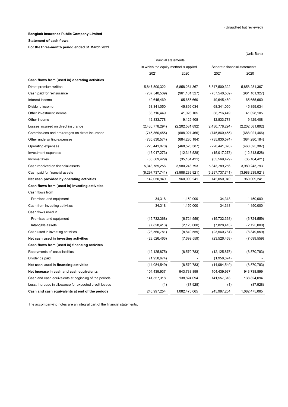#### **Statement of cash flows**

**For the three-month period ended 31 March 2021**

|                                                        |                                       |                 |                               | (Unit: Baht)    |
|--------------------------------------------------------|---------------------------------------|-----------------|-------------------------------|-----------------|
|                                                        | <b>Financial statements</b>           |                 |                               |                 |
|                                                        | in which the equity method is applied |                 | Separate financial statements |                 |
|                                                        | 2021                                  | 2020            | 2021                          | 2020            |
| Cash flows from (used in) operating activities         |                                       |                 |                               |                 |
| Direct premium written                                 | 5,847,500,322                         | 5,858,281,367   | 5,847,500,322                 | 5,858,281,367   |
| Cash paid for reinsurance                              | (737, 540, 539)                       | (961, 101, 327) | (737, 540, 539)               | (961, 101, 327) |
| Interest income                                        | 49,645,469                            | 65,655,660      | 49,645,469                    | 65,655,660      |
| Dividend income                                        | 68,341,050                            | 45,899,034      | 68,341,050                    | 45,899,034      |
| Other investment income                                | 38,716,449                            | 41,028,105      | 38,716,449                    | 41,028,105      |
| Other income                                           | 12,833,778                            | 9,129,408       | 12,833,778                    | 9,129,408       |
| Losses incurred on direct insurance                    | (2,430,778,294)                       | (2,202,581,892) | (2,430,778,294)               | (2,202,581,892) |
| Commissions and brokerages on direct insurance         | (745, 860, 455)                       | (688, 021, 466) | (745, 860, 455)               | (688, 021, 466) |
| Other underwriting expenses                            | (735, 830, 574)                       | (684, 280, 184) | (735, 830, 574)               | (684, 280, 184) |
| Operating expenses                                     | (220, 441, 070)                       | (468, 525, 387) | (220, 441, 070)               | (468, 525, 387) |
| Investment expenses                                    | (15,017,273)                          | (12, 313, 528)  | (15,017,273)                  | (12, 313, 528)  |
| Income taxes                                           | (35, 569, 429)                        | (35, 164, 421)  | (35, 569, 429)                | (35, 164, 421)  |
| Cash received on financial assets                      | 5,343,789,256                         | 3,980,243,793   | 5,343,789,256                 | 3,980,243,793   |
| Cash paid for financial assets                         | (6,297,737,741)                       | (3,988,239,921) | (6,297,737,741)               | (3,988,239,921) |
| Net cash provided by operating activities              | 142,050,949                           | 960,009,241     | 142,050,949                   | 960,009,241     |
| Cash flows from (used in) investing activities         |                                       |                 |                               |                 |
| Cash flows from                                        |                                       |                 |                               |                 |
| Premises and equipment                                 | 34,318                                | 1,150,000       | 34,318                        | 1,150,000       |
| Cash from investing activities                         | 34,318                                | 1,150,000       | 34,318                        | 1,150,000       |
| Cash flows used in                                     |                                       |                 |                               |                 |
| Premises and equipment                                 | (15, 732, 368)                        | (6,724,559)     | (15, 732, 368)                | (6,724,559)     |
| Intangible assets                                      | (7,828,413)                           | (2, 125, 000)   | (7,828,413)                   | (2, 125, 000)   |
| Cash used in investing activities                      | (23, 560, 781)                        | (8,849,559)     | (23, 560, 781)                | (8,849,559)     |
| Net cash used in investing activities                  | (23, 526, 463)                        | (7,699,559)     | (23, 526, 463)                | (7,699,559)     |
| Cash flows from (used in) financing activites          |                                       |                 |                               |                 |
| Repayments of lease liabilities                        | (12, 125, 875)                        | (8,570,783)     | (12, 125, 875)                | (8,570,783)     |
| Dividends paid                                         | (1,958,674)                           |                 | (1,958,674)                   |                 |
| Net cash used in financing activities                  | (14,084,549)                          | (8,570,783)     | (14,084,549)                  | (8,570,783)     |
| Net increase in cash and cash equivalents              | 104,439,937                           | 943,738,899     | 104,439,937                   | 943,738,899     |
| Cash and cash equivalents at beginning of the periods  | 141,557,318                           | 138,824,094     | 141,557,318                   | 138,824,094     |
| Less: Increase in allowance for expected credit losses | (1)                                   | (87, 928)       | (1)                           | (87, 928)       |
| Cash and cash equivalents at end of the periods        | 245, 997, 254                         | 1,082,475,065   | 245,997,254                   | 1,082,475,065   |

The accompanying notes are an integral part of the financial statements.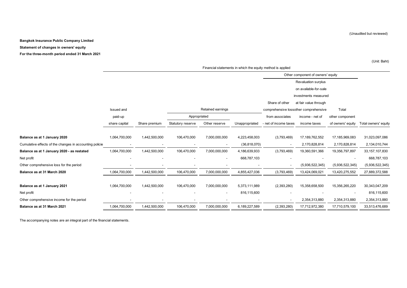**Statement of changes in owners' equity**

**For the three-month period ended 31 March 2021**

|                                                         | Financial statements in which the equity method is applied |               |                   |                   |                |                          |                                       |                   |                      |
|---------------------------------------------------------|------------------------------------------------------------|---------------|-------------------|-------------------|----------------|--------------------------|---------------------------------------|-------------------|----------------------|
|                                                         |                                                            |               |                   |                   |                |                          | Other component of owners' equity     |                   |                      |
|                                                         |                                                            |               |                   |                   |                |                          | Revaluation surplus                   |                   |                      |
|                                                         |                                                            |               |                   |                   |                |                          | on available-for-sale                 |                   |                      |
|                                                         |                                                            |               |                   |                   |                |                          | investments measured                  |                   |                      |
|                                                         |                                                            |               |                   |                   |                | Share of other           | at fair value through                 |                   |                      |
|                                                         | Issued and                                                 |               |                   | Retained earnings |                |                          | comprehensive lossother comprehensive | Total             |                      |
|                                                         | paid-up                                                    |               | Appropriated      |                   |                | from associates          | income - net of                       | other component   |                      |
|                                                         | share capital                                              | Share premium | Statutory reserve | Other reserve     | Unappropriated | - net of income taxes    | income taxes                          | of owners' equity | Total owners' equity |
|                                                         |                                                            |               |                   |                   |                |                          |                                       |                   |                      |
| Balance as at 1 January 2020                            | 1,064,700,000                                              | 1,442,500,000 | 106,470,000       | 7,000,000,000     | 4,223,458,003  | (3,793,469)              | 17, 189, 762, 552                     | 17,185,969,083    | 31,023,097,086       |
| Cumulative effects of the changes in accounting policie |                                                            |               |                   |                   | (36, 818, 070) |                          | 2,170,828,814                         | 2,170,828,814     | 2,134,010,744        |
| Balance as at 1 January 2020 - as restated              | 1,064,700,000                                              | 1,442,500,000 | 106,470,000       | 7,000,000,000     | 4,186,639,933  | (3,793,469)              | 19,360,591,366                        | 19,356,797,897    | 33, 157, 107, 830    |
| Net profit                                              |                                                            |               |                   |                   | 668,787,103    |                          |                                       |                   | 668,787,103          |
| Other comprehensive loss for the period                 |                                                            |               |                   |                   |                | $\overline{\phantom{a}}$ | (5,936,522,345)                       | (5,936,522,345)   | (5,936,522,345)      |
| Balance as at 31 March 2020                             | 1,064,700,000                                              | 1,442,500,000 | 106,470,000       | 7,000,000,000     | 4,855,427,036  | (3,793,469)              | 13,424,069,021                        | 13,420,275,552    | 27,889,372,588       |
|                                                         |                                                            |               |                   |                   |                |                          |                                       |                   |                      |
| Balance as at 1 January 2021                            | 1,064,700,000                                              | 1,442,500,000 | 106,470,000       | 7,000,000,000     | 5,373,111,989  | (2,393,280)              | 15,358,658,500                        | 15,356,265,220    | 30,343,047,209       |
| Net profit                                              |                                                            |               |                   |                   | 816,115,600    |                          |                                       |                   | 816,115,600          |
| Other comprehensive income for the period               |                                                            |               |                   |                   |                |                          | 2,354,313,880                         | 2,354,313,880     | 2,354,313,880        |
| Balance as at 31 March 2021                             | 1,064,700,000                                              | 1,442,500,000 | 106,470,000       | 7,000,000,000     | 6,189,227,589  | (2,393,280)              | 17,712,972,380                        | 17,710,579,100    | 33,513,476,689       |

The accompanying notes are an integral part of the financial statements.

(Unaudited but reviewed)

(Unit: Baht)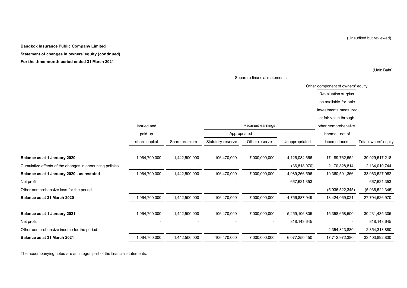**Statement of changes in owners' equity (continued)**

**For the three-month period ended 31 March 2021**

Other component of owners' equity Revaluation surplus on available-for-sale investments measured at fair value through Issued and **Issued and Other comprehensive Comprehensive Retained earnings Comprehensive Comprehensive** paid-up Appropriated income - net of share capital Share premium Statutory reserve Other reserve Unappropriated income taxes Total owners' equity **Balance as at 1 January 2020** 1,064,700,000 1,442,500,000 106,470,000 7,000,000,000 4,126,084,666 17,189,762,552 30,929,517,218 Cumulative effects of the changes in accounting policies - - - - - - - - - - - - - - - (36,818,070) 2,170,828,814 2,134,010,744 **Balance as at 1 January 2020 - as restated** 1,064,700,000 1,442,500,000 106,470,000 7,000,000,000 4,089,266,596 19,360,591,366 33,063,527,962 Net profit - - - - 667,621,353 - 667,621,353 Other comprehensive loss for the period example in the period of the period of the period of the period of the period of the period of the period of the period of the period of the period of the period of the period of the **Balance as at 31 March 2020** 1,064,000,000 1,442,500,000 1,442,500,000 106,470,000 106,470,000 7,000,000,000 1,756,887,949 13,424,069,021 27,794,626,970 **Balance as at 1 January 2021** 1,064,700,000 1,442,500,000 106,470,000 7,000,000,000 5,259,106,805 15,358,658,500 30,231,435,305 Net profit - - - - 818,143,645 - 818,143,645 Other comprehensive income for the period and the period of the period of the period of the period of the period of the period of the period of the period of the period of the period of the period of the period of the peri **Balance as at 31 March 2021** 1,064,700,000 1,442,500,000 106,470,000 7,000,000,000 6,077,250,450 17,712,972,380 33,403,892,830 Retained earnings Appropriated

Separate financial statements

The accompanying notes are an integral part of the financial statements.

(Unaudited but reviewed)

(Unit: Baht)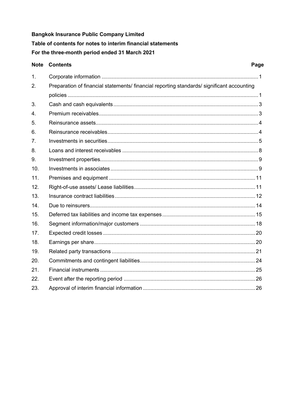**Bangkok Insurance Public Company Limited** Table of contents for notes to interim financial statements For the three-month period ended 31 March 2021

#### **Note Contents** Page  $\mathbf{1}$  $\mathcal{P}$ Preparation of financial statements/ financial reporting standards/ significant accounting  $\mathbf{3}$  $\overline{4}$ .  $5^{\circ}$ 6  $\overline{7}$ Investments in securities 5  $8<sup>1</sup>$  $\mathbf{q}$  $10<sub>1</sub>$  $11$  $12.$  $13<sup>1</sup>$ Insurance contract liabilities and the contract study of the contract liabilities of the contract liabilities of the contract liabilities of the contract liabilities of the contract liabilities of the contract liabilities  $14$ Due to reinsurers and the contract of the contract of the contract of the contract of the contract of the contract of the contract of the contract of the contract of the contract of the contract of the contract of the cont  $15.$ 16.  $17.$  $18.$ 19.  $20<sup>1</sup>$  $21$  $22.$ 23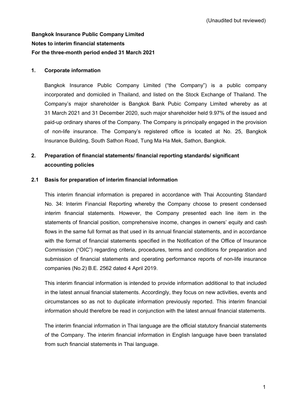# **Bangkok Insurance Public Company Limited Notes to interim financial statements For the three-month period ended 31 March 2021**

### **1. Corporate information**

Bangkok Insurance Public Company Limited ("the Company") is a public company incorporated and domiciled in Thailand, and listed on the Stock Exchange of Thailand. The Company's major shareholder is Bangkok Bank Pubic Company Limited whereby as at 31 March 2021 and 31 December 2020, such major shareholder held 9.97% of the issued and paid-up ordinary shares of the Company. The Company is principally engaged in the provision of non-life insurance. The Company's registered office is located at No. 25, Bangkok Insurance Building, South Sathon Road, Tung Ma Ha Mek, Sathon, Bangkok.

# **2. Preparation of financial statements/ financial reporting standards/ significant accounting policies**

### **2.1 Basis for preparation of interim financial information**

This interim financial information is prepared in accordance with Thai Accounting Standard No. 34: Interim Financial Reporting whereby the Company choose to present condensed interim financial statements. However, the Company presented each line item in the statements of financial position, comprehensive income, changes in owners' equity and cash flows in the same full format as that used in its annual financial statements, and in accordance with the format of financial statements specified in the Notification of the Office of Insurance Commission ("OIC") regarding criteria, procedures, terms and conditions for preparation and submission of financial statements and operating performance reports of non-life insurance companies (No.2) B.E. 2562 dated 4 April 2019.

This interim financial information is intended to provide information additional to that included in the latest annual financial statements. Accordingly, they focus on new activities, events and circumstances so as not to duplicate information previously reported. This interim financial information should therefore be read in conjunction with the latest annual financial statements.

The interim financial information in Thai language are the official statutory financial statements of the Company. The interim financial information in English language have been translated from such financial statements in Thai language.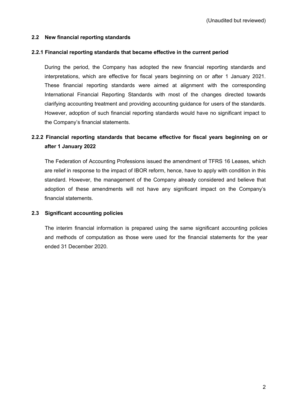### **2.2 New financial reporting standards**

### **2.2.1 Financial reporting standards that became effective in the current period**

During the period, the Company has adopted the new financial reporting standards and interpretations, which are effective for fiscal years beginning on or after 1 January 2021. These financial reporting standards were aimed at alignment with the corresponding International Financial Reporting Standards with most of the changes directed towards clarifying accounting treatment and providing accounting guidance for users of the standards. However, adoption of such financial reporting standards would have no significant impact to the Company's financial statements.

# **2.2.2 Financial reporting standards that became effective for fiscal years beginning on or after 1 January 2022**

The Federation of Accounting Professions issued the amendment of TFRS 16 Leases, which are relief in response to the impact of IBOR reform, hence, have to apply with condition in this standard. However, the management of the Company already considered and believe that adoption of these amendments will not have any significant impact on the Company's financial statements.

### **2.3 Significant accounting policies**

The interim financial information is prepared using the same significant accounting policies and methods of computation as those were used for the financial statements for the year ended 31 December 2020.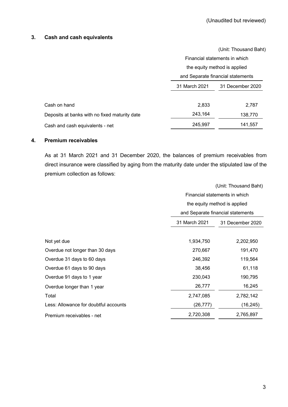### **3. Cash and cash equivalents**

|                                               |               | (Unit: Thousand Baht)             |
|-----------------------------------------------|---------------|-----------------------------------|
|                                               |               | Financial statements in which     |
|                                               |               | the equity method is applied      |
|                                               |               | and Separate financial statements |
|                                               | 31 March 2021 | 31 December 2020                  |
| Cash on hand                                  | 2,833         | 2,787                             |
| Deposits at banks with no fixed maturity date | 243,164       | 138,770                           |
| Cash and cash equivalents - net               | 245,997       | 141,557                           |

### **4. Premium receivables**

As at 31 March 2021 and 31 December 2020, the balances of premium receivables from direct insurance were classified by aging from the maturity date under the stipulated law of the premium collection as follows:

|                                       |               | (Unit: Thousand Baht)             |  |  |  |
|---------------------------------------|---------------|-----------------------------------|--|--|--|
|                                       |               | Financial statements in which     |  |  |  |
|                                       |               | the equity method is applied      |  |  |  |
|                                       |               | and Separate financial statements |  |  |  |
|                                       | 31 March 2021 | 31 December 2020                  |  |  |  |
|                                       |               |                                   |  |  |  |
| Not yet due                           | 1,934,750     | 2,202,950                         |  |  |  |
| Overdue not longer than 30 days       | 270,667       | 191,470                           |  |  |  |
| Overdue 31 days to 60 days            | 246,392       | 119,564                           |  |  |  |
| Overdue 61 days to 90 days            | 38,456        | 61,118                            |  |  |  |
| Overdue 91 days to 1 year             | 230,043       | 190,795                           |  |  |  |
| Overdue longer than 1 year            | 26,777        | 16,245                            |  |  |  |
| Total                                 | 2,747,085     | 2,782,142                         |  |  |  |
| Less: Allowance for doubtful accounts | (26, 777)     | (16, 245)                         |  |  |  |
| Premium receivables - net             | 2,720,308     | 2,765,897                         |  |  |  |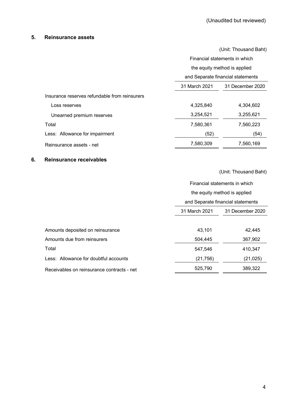### **5. Reinsurance assets**

|                                               | (Unit: Thousand Baht)             |                                   |  |  |
|-----------------------------------------------|-----------------------------------|-----------------------------------|--|--|
|                                               |                                   | Financial statements in which     |  |  |
|                                               |                                   | the equity method is applied      |  |  |
|                                               |                                   | and Separate financial statements |  |  |
|                                               | 31 March 2021<br>31 December 2020 |                                   |  |  |
| Insurance reserves refundable from reinsurers |                                   |                                   |  |  |
| Loss reserves                                 | 4,325,840                         | 4,304,602                         |  |  |
| Unearned premium reserves                     | 3,254,521                         | 3,255,621                         |  |  |
| Total                                         | 7,580,361                         | 7,560,223                         |  |  |
| Less: Allowance for impairment                | (52)                              | (54)                              |  |  |
| Reinsurance assets - net                      | 7,580,309                         | 7,560,169                         |  |  |

### **6. Reinsurance receivables**

|                                            | Financial statements in which     |                  |  |  |
|--------------------------------------------|-----------------------------------|------------------|--|--|
|                                            | the equity method is applied      |                  |  |  |
|                                            | and Separate financial statements |                  |  |  |
|                                            | 31 March 2021                     | 31 December 2020 |  |  |
|                                            |                                   |                  |  |  |
| Amounts deposited on reinsurance           | 43,101                            | 42,445           |  |  |
| Amounts due from reinsurers                | 504,445                           | 367,902          |  |  |
| Total                                      | 547,546                           | 410,347          |  |  |
| Less: Allowance for doubtful accounts      | (21, 756)                         | (21, 025)        |  |  |
| Receivables on reinsurance contracts - net | 525,790                           | 389,322          |  |  |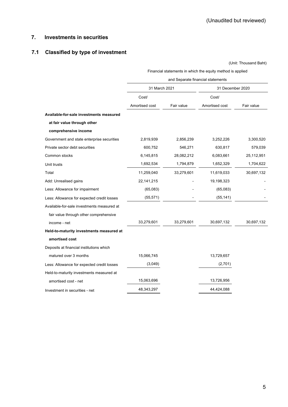### **7. Investments in securities**

# **7.1 Classified by type of investment**

|                                            | Financial statements in which the equity method is applied |            |                  |            |  |  |
|--------------------------------------------|------------------------------------------------------------|------------|------------------|------------|--|--|
|                                            | and Separate financial statements                          |            |                  |            |  |  |
|                                            | 31 March 2021                                              |            | 31 December 2020 |            |  |  |
|                                            | Cost/                                                      |            | Cost/            |            |  |  |
|                                            | Amortised cost                                             | Fair value | Amortised cost   | Fair value |  |  |
| Available-for-sale investments measured    |                                                            |            |                  |            |  |  |
| at fair value through other                |                                                            |            |                  |            |  |  |
| comprehensive income                       |                                                            |            |                  |            |  |  |
| Government and state enterprise securities | 2,819,939                                                  | 2,856,239  | 3,252,226        | 3,300,520  |  |  |
| Private sector debt securities             | 600,752                                                    | 546,271    | 630,817          | 579,039    |  |  |
| Common stocks                              | 6,145,815                                                  | 28,082,212 | 6,083,661        | 25,112,951 |  |  |
| Unit trusts                                | 1,692,534                                                  | 1,794,879  | 1,652,329        | 1,704,622  |  |  |
| Total                                      | 11,259,040                                                 | 33,279,601 | 11,619,033       | 30,697,132 |  |  |
| Add: Unrealised gains                      | 22, 141, 215                                               |            | 19,198,323       |            |  |  |
| Less: Allowance for impairment             | (65,083)                                                   |            | (65,083)         |            |  |  |
| Less: Allowance for expected credit losses | (55, 571)                                                  |            | (55, 141)        |            |  |  |
| Available-for-sale investments measured at |                                                            |            |                  |            |  |  |
| fair value through other comprehensive     |                                                            |            |                  |            |  |  |
| income - net                               | 33,279,601                                                 | 33,279,601 | 30,697,132       | 30,697,132 |  |  |
| Held-to-maturity investments measured at   |                                                            |            |                  |            |  |  |
| amortised cost                             |                                                            |            |                  |            |  |  |
| Deposits at financial institutions which   |                                                            |            |                  |            |  |  |
| matured over 3 months                      | 15,066,745                                                 |            | 13,729,657       |            |  |  |
| Less: Allowance for expected credit losses | (3,049)                                                    |            | (2,701)          |            |  |  |
| Held-to-maturity investments measured at   |                                                            |            |                  |            |  |  |
| amortised cost - net                       | 15,063,696                                                 |            | 13,726,956       |            |  |  |
| Investment in securities - net             | 48,343,297                                                 |            | 44,424,088       |            |  |  |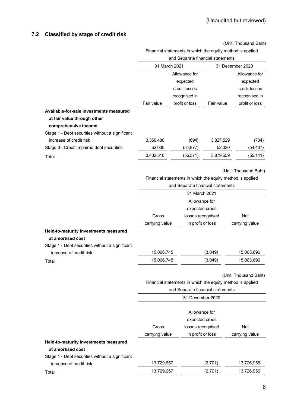### **7.2 Classified by stage of credit risk**

(Unit: Thousand Baht)

# Financial statements in which the equity method is applied

|                                                                                                |                 | and Separate financial statements                                                               |            |                       |
|------------------------------------------------------------------------------------------------|-----------------|-------------------------------------------------------------------------------------------------|------------|-----------------------|
|                                                                                                |                 | 31 March 2021                                                                                   |            | 31 December 2020      |
|                                                                                                |                 | Allowance for                                                                                   |            | Allowance for         |
|                                                                                                |                 | expected                                                                                        |            | expected              |
|                                                                                                |                 | credit losses                                                                                   |            | credit losses         |
|                                                                                                |                 | recognised in                                                                                   |            | recognised in         |
|                                                                                                | Fair value      | profit or loss                                                                                  | Fair value | profit or loss        |
| Available-for-sale investments measured<br>at fair value through other<br>comprehensive income |                 |                                                                                                 |            |                       |
| Stage 1 - Debt securities without a significant                                                |                 |                                                                                                 |            |                       |
| increase of credit risk                                                                        | 3,350,480       | (694)                                                                                           | 3,827,529  | (734)                 |
| Stage 3 - Credit impaired debt securities                                                      | 52,030          | (54, 877)                                                                                       | 52,030     | (54, 407)             |
| Total                                                                                          | 3,402,510       | (55, 571)                                                                                       | 3,879,559  | (55, 141)             |
|                                                                                                |                 | Financial statements in which the equity method is applied<br>and Separate financial statements |            | (Unit: Thousand Baht) |
|                                                                                                |                 | 31 March 2021                                                                                   |            |                       |
|                                                                                                |                 | Allowance for                                                                                   |            |                       |
|                                                                                                | expected credit |                                                                                                 |            |                       |
|                                                                                                | Gross           | losses recognised                                                                               |            | Net                   |
|                                                                                                | carrying value  | in profit or loss                                                                               |            | carrying value        |
| Held-to-maturity investments measured<br>at amortised cost                                     |                 |                                                                                                 |            |                       |
| Stage 1 - Debt securities without a significant<br>increase of credit risk                     | 15,066,745      |                                                                                                 | (3,049)    | 15,063,696            |
| Total                                                                                          | 15,066,745      |                                                                                                 | (3,049)    | 15,063,696            |
|                                                                                                |                 | Financial statements in which the equity method is applied                                      |            | (Unit: Thousand Baht) |
|                                                                                                |                 | and Separate financial statements                                                               |            |                       |
|                                                                                                |                 | 31 December 2020                                                                                |            |                       |
|                                                                                                |                 | Allowance for<br>expected credit                                                                |            |                       |
|                                                                                                | Gross           | losses recognised                                                                               |            | Net                   |
|                                                                                                | carrying value  | in profit or loss                                                                               |            | carrying value        |
| Held-to-maturity investments measured                                                          |                 |                                                                                                 |            |                       |
| at amortised cost                                                                              |                 |                                                                                                 |            |                       |

increase of credit risk 13,729,657 (2,701) 13,726,956 Total 13,729,657 (2,701) 13,726,956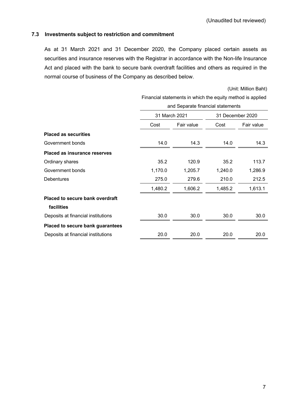### **7.3 Investments subject to restriction and commitment**

As at 31 March 2021 and 31 December 2020, the Company placed certain assets as securities and insurance reserves with the Registrar in accordance with the Non-life Insurance Act and placed with the bank to secure bank overdraft facilities and others as required in the normal course of business of the Company as described below.

(Unit: Million Baht)

|                                     |         | Financial statements in which the equity method is applied |         |                  |  |  |  |
|-------------------------------------|---------|------------------------------------------------------------|---------|------------------|--|--|--|
|                                     |         | and Separate financial statements                          |         |                  |  |  |  |
|                                     |         | 31 March 2021                                              |         | 31 December 2020 |  |  |  |
|                                     | Cost    | Fair value                                                 | Cost    | Fair value       |  |  |  |
| <b>Placed as securities</b>         |         |                                                            |         |                  |  |  |  |
| Government bonds                    | 14.0    | 14.3                                                       | 14.0    | 14.3             |  |  |  |
| <b>Placed as insurance reserves</b> |         |                                                            |         |                  |  |  |  |
| Ordinary shares                     | 35.2    | 120.9                                                      | 35.2    | 113.7            |  |  |  |
| Government bonds                    | 1,170.0 | 1,205.7                                                    | 1,240.0 | 1,286.9          |  |  |  |
| <b>Debentures</b>                   | 275.0   | 279.6                                                      | 210.0   | 212.5            |  |  |  |
|                                     | 1,480.2 | 1,606.2                                                    | 1,485.2 | 1,613.1          |  |  |  |
| Placed to secure bank overdraft     |         |                                                            |         |                  |  |  |  |
| facilities                          |         |                                                            |         |                  |  |  |  |
| Deposits at financial institutions  | 30.0    | 30.0                                                       | 30.0    | 30.0             |  |  |  |
| Placed to secure bank guarantees    |         |                                                            |         |                  |  |  |  |
| Deposits at financial institutions  | 20.0    | 20.0                                                       | 20.0    | 20.0             |  |  |  |
|                                     |         |                                                            |         |                  |  |  |  |

Financial statements in which the equity method is applied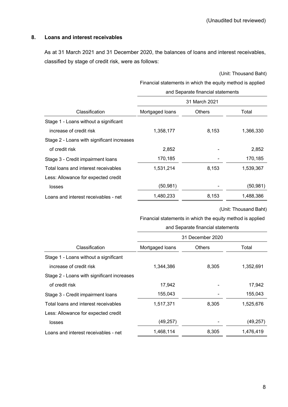### **8. Loans and interest receivables**

As at 31 March 2021 and 31 December 2020, the balances of loans and interest receivables, classified by stage of credit risk, were as follows:

(Unit: Thousand Baht)

Financial statements in which the equity method is applied

|                                            | and Separate financial statements |               |           |  |  |  |
|--------------------------------------------|-----------------------------------|---------------|-----------|--|--|--|
|                                            | 31 March 2021                     |               |           |  |  |  |
| Classification                             | Mortgaged loans                   | <b>Others</b> | Total     |  |  |  |
| Stage 1 - Loans without a significant      |                                   |               |           |  |  |  |
| increase of credit risk                    | 1,358,177                         | 8,153         | 1,366,330 |  |  |  |
| Stage 2 - Loans with significant increases |                                   |               |           |  |  |  |
| of credit risk                             | 2,852                             |               | 2,852     |  |  |  |
| Stage 3 - Credit impairment loans          | 170,185                           |               | 170,185   |  |  |  |
| Total loans and interest receivables       | 1,531,214                         | 8,153         | 1,539,367 |  |  |  |
| Less: Allowance for expected credit        |                                   |               |           |  |  |  |
| losses                                     | (50, 981)                         |               | (50, 981) |  |  |  |
| Loans and interest receivables - net       | 1,480,233                         | 8,153         | 1,488,386 |  |  |  |
|                                            |                                   |               |           |  |  |  |

(Unit: Thousand Baht)

Financial statements in which the equity method is applied

|                                            | and Separate financial statements<br>31 December 2020 |               |           |  |  |
|--------------------------------------------|-------------------------------------------------------|---------------|-----------|--|--|
|                                            |                                                       |               |           |  |  |
| Classification                             | Mortgaged loans                                       | <b>Others</b> | Total     |  |  |
| Stage 1 - Loans without a significant      |                                                       |               |           |  |  |
| increase of credit risk                    | 1,344,386                                             | 8,305         | 1,352,691 |  |  |
| Stage 2 - Loans with significant increases |                                                       |               |           |  |  |
| of credit risk                             | 17,942                                                |               | 17,942    |  |  |
| Stage 3 - Credit impairment loans          | 155,043                                               |               | 155,043   |  |  |
| Total loans and interest receivables       | 1,517,371                                             | 8,305         | 1,525,676 |  |  |
| Less: Allowance for expected credit        |                                                       |               |           |  |  |
| losses                                     | (49, 257)                                             |               | (49, 257) |  |  |
| Loans and interest receivables - net       | 1,468,114                                             | 8,305         | 1,476,419 |  |  |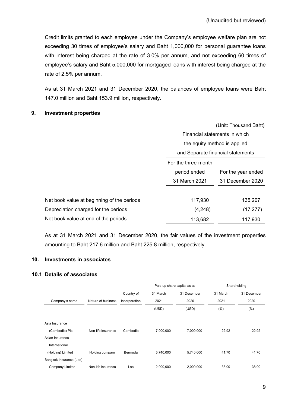Credit limits granted to each employee under the Company's employee welfare plan are not exceeding 30 times of employee's salary and Baht 1,000,000 for personal guarantee loans with interest being charged at the rate of 3.0% per annum, and not exceeding 60 times of employee's salary and Baht 5,000,000 for mortgaged loans with interest being charged at the rate of 2.5% per annum.

As at 31 March 2021 and 31 December 2020, the balances of employee loans were Baht 147.0 million and Baht 153.9 million, respectively.

### **9. Investment properties**

|                                            |                                    | (Unit: Thousand Baht) |  |
|--------------------------------------------|------------------------------------|-----------------------|--|
|                                            | Financial statements in which      |                       |  |
|                                            | the equity method is applied       |                       |  |
|                                            | and Separate financial statements  |                       |  |
|                                            | For the three-month                |                       |  |
|                                            | period ended<br>For the year ended |                       |  |
|                                            | 31 March 2021                      | 31 December 2020      |  |
|                                            |                                    |                       |  |
| Net book value at beginning of the periods | 117,930                            | 135,207               |  |
| Depreciation charged for the periods       | (4,248)                            | (17, 277)             |  |
| Net book value at end of the periods       | 113,682                            | 117,930               |  |

As at 31 March 2021 and 31 December 2020, the fair values of the investment properties amounting to Baht 217.6 million and Baht 225.8 million, respectively.

### **10. Investments in associates**

### **10.1 Details of associates**

|                         |                    |               | Paid-up share capital as at |             |          | Shareholding |
|-------------------------|--------------------|---------------|-----------------------------|-------------|----------|--------------|
|                         |                    | Country of    | 31 March                    | 31 December | 31 March | 31 December  |
| Company's name          | Nature of business | incorporation | 2021                        | 2020        | 2021     | 2020         |
|                         |                    |               | (USD)                       | (USD)       | (% )     | (%)          |
|                         |                    |               |                             |             |          |              |
| Asia Insurance          |                    |               |                             |             |          |              |
| (Cambodia) Plc.         | Non-life insurance | Cambodia      | 7,000,000                   | 7,000,000   | 22.92    | 22.92        |
| Asian Insurance         |                    |               |                             |             |          |              |
| International           |                    |               |                             |             |          |              |
| (Holding) Limited       | Holding company    | Bermuda       | 5,740,000                   | 5,740,000   | 41.70    | 41.70        |
| Bangkok Insurance (Lao) |                    |               |                             |             |          |              |
| Company Limited         | Non-life insurance | Lao           | 2,000,000                   | 2,000,000   | 38.00    | 38.00        |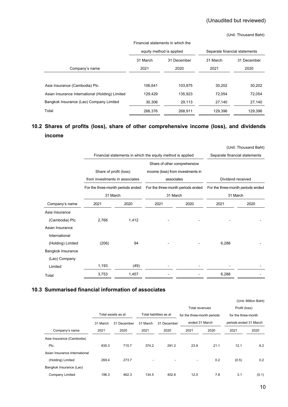# (Unaudited but reviewed)

#### (Unit: Thousand Baht)

| Financial statements in which the               |                          |         |                               |             |  |
|-------------------------------------------------|--------------------------|---------|-------------------------------|-------------|--|
|                                                 | equity method is applied |         | Separate financial statements |             |  |
|                                                 | 31 March<br>31 December  |         | 31 March                      | 31 December |  |
| Company's name                                  | 2021                     | 2020    | 2021                          | 2020        |  |
|                                                 |                          |         |                               |             |  |
| Asia Insurance (Cambodia) Plc.                  | 106.641                  | 103.875 | 30,202                        | 30,202      |  |
| Asian Insurance International (Holding) Limited | 129,429                  | 135,923 | 72.054                        | 72.054      |  |
| Bangkok Insurance (Lao) Company Limited         | 30,306                   | 29,113  | 27,140                        | 27,140      |  |
| Total                                           | 266,376                  | 268,911 | 129,396                       | 129,396     |  |

# **10.2 Shares of profits (loss), share of other comprehensive income (loss), and dividends income**

|                   |                                   |                                                            |                                               |      |                                               | (Unit: Thousand Baht)         |  |
|-------------------|-----------------------------------|------------------------------------------------------------|-----------------------------------------------|------|-----------------------------------------------|-------------------------------|--|
|                   |                                   | Financial statements in which the equity method is applied |                                               |      |                                               | Separate financial statements |  |
|                   |                                   |                                                            | Share of other comprehensive                  |      |                                               |                               |  |
|                   | Share of profit (loss)            |                                                            | income (loss) from investments in             |      |                                               |                               |  |
|                   | from investments in associates    |                                                            | associates                                    |      | Dividend received                             |                               |  |
|                   | For the three-month periods ended |                                                            | For the three-month periods ended<br>31 March |      | For the three-month periods ended<br>31 March |                               |  |
|                   | 31 March                          |                                                            |                                               |      |                                               |                               |  |
| Company's name    | 2021                              | 2020                                                       | 2021                                          | 2020 | 2021                                          | 2020                          |  |
| Asia Insurance    |                                   |                                                            |                                               |      |                                               |                               |  |
| (Cambodia) Plc.   | 2,766                             | 1,412                                                      |                                               |      |                                               |                               |  |
| Asian Insurance   |                                   |                                                            |                                               |      |                                               |                               |  |
| International     |                                   |                                                            |                                               |      |                                               |                               |  |
| (Holding) Limited | (206)                             | 94                                                         |                                               |      | 6,288                                         |                               |  |
| Bangkok Insurance |                                   |                                                            |                                               |      |                                               |                               |  |
| (Lao) Company     |                                   |                                                            |                                               |      |                                               |                               |  |
| Limited           | 1,193                             | (49)                                                       |                                               |      |                                               |                               |  |
| Total             | 3,753                             | 1,457                                                      |                                               |      | 6,288                                         |                               |  |

### **10.3 Summarised financial information of associates**

|                               |          |                    |          |                         |                             |      |                        | (Unit: Million Baht) |
|-------------------------------|----------|--------------------|----------|-------------------------|-----------------------------|------|------------------------|----------------------|
|                               |          |                    |          |                         | Total revenues              |      | Profit (loss)          |                      |
|                               |          | Total assets as at |          | Total liabilities as at | for the three-month periods |      | for the three-month    |                      |
|                               | 31 March | 31 December        | 31 March | 31 December             | ended 31 March              |      | periods ended 31 March |                      |
| Company's name                | 2021     | 2020               | 2021     | 2020                    | 2021                        | 2020 | 2021                   | 2020                 |
| Asia Insurance (Cambodia)     |          |                    |          |                         |                             |      |                        |                      |
| Plc.                          | 835.3    | 715.7              | 374.2    | 291.2                   | 23.9                        | 21.1 | 12.1                   | 6.2                  |
| Asian Insurance International |          |                    |          |                         |                             |      |                        |                      |
| (Holding) Limited             | 269.4    | 273.7              |          |                         | ۰                           | 0.2  | (0.5)                  | 0.2                  |
| Bangkok Insurance (Lao)       |          |                    |          |                         |                             |      |                        |                      |
| Company Limited               | 196.3    | 462.3              | 134.5    | 402.6                   | 12.0                        | 7.8  | 3.1                    | (0.1)                |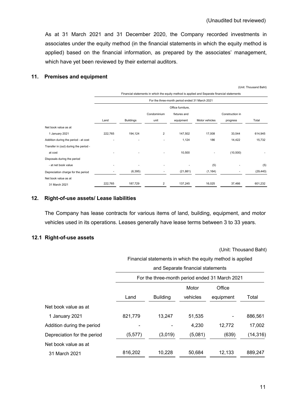As at 31 March 2021 and 31 December 2020, the Company recorded investments in associates under the equity method (in the financial statements in which the equity method is applied) based on the financial information, as prepared by the associates' management, which have yet been reviewed by their external auditors.

### **11. Premises and equipment**

(Unit: Thousand Baht)

|                                       | Financial statements in which the equity method is applied and Separate financial statements |                  |                         |                   |                |                          |           |
|---------------------------------------|----------------------------------------------------------------------------------------------|------------------|-------------------------|-------------------|----------------|--------------------------|-----------|
|                                       | For the three-month period ended 31 March 2021                                               |                  |                         |                   |                |                          |           |
|                                       |                                                                                              |                  |                         | Office furniture, |                |                          |           |
|                                       |                                                                                              |                  | Condominium             | fixtures and      |                | Construction in          |           |
|                                       | Land                                                                                         | <b>Buildings</b> | unit                    | equipment         | Motor vehicles | progress                 | Total     |
| Net book value as at                  |                                                                                              |                  |                         |                   |                |                          |           |
| 1 January 2021                        | 222,765                                                                                      | 194,124          | $\overline{2}$          | 147,502           | 17,008         | 33,544                   | 614,945   |
| Addition during the period - at cost  |                                                                                              | ٠                | $\overline{a}$          | 1,124             | 186            | 14,422                   | 15,732    |
| Transfer in (out) during the period - |                                                                                              |                  |                         |                   |                |                          |           |
| at cost                               |                                                                                              | ٠                | ٠                       | 10,500            | ٠              | (10, 500)                |           |
| Disposals during the period           |                                                                                              |                  |                         |                   |                |                          |           |
| - at net book value                   |                                                                                              |                  |                         |                   | (5)            |                          | (5)       |
| Depreciation charge for the period    |                                                                                              | (6, 395)         | ٠                       | (21, 881)         | (1, 164)       | $\overline{\phantom{a}}$ | (29, 440) |
| Net book value as at                  |                                                                                              |                  |                         |                   |                |                          |           |
| 31 March 2021                         | 222,765                                                                                      | 187,729          | $\overline{\mathbf{c}}$ | 137,245           | 16,025         | 37,466                   | 601,232   |

### **12. Right-of-use assets/ Lease liabilities**

The Company has lease contracts for various items of land, building, equipment, and motor vehicles used in its operations. Leases generally have lease terms between 3 to 33 years.

### **12.1 Right-of-use assets**

(Unit: Thousand Baht)

Financial statements in which the equity method is applied

|                             |          | and Separate financial statements |          |                                                |           |  |  |
|-----------------------------|----------|-----------------------------------|----------|------------------------------------------------|-----------|--|--|
|                             |          |                                   |          | For the three-month period ended 31 March 2021 |           |  |  |
|                             |          |                                   | Motor    | Office                                         |           |  |  |
|                             | Land     | <b>Building</b>                   | vehicles | equipment                                      | Total     |  |  |
| Net book value as at        |          |                                   |          |                                                |           |  |  |
| 1 January 2021              | 821,779  | 13.247                            | 51.535   |                                                | 886,561   |  |  |
| Addition during the period  |          |                                   | 4,230    | 12,772                                         | 17,002    |  |  |
| Depreciation for the period | (5, 577) | (3,019)                           | (5,081)  | (639)                                          | (14, 316) |  |  |
| Net book value as at        |          |                                   |          |                                                |           |  |  |
| 31 March 2021               | 816,202  | 10,228                            | 50,684   | 12,133                                         | 889,247   |  |  |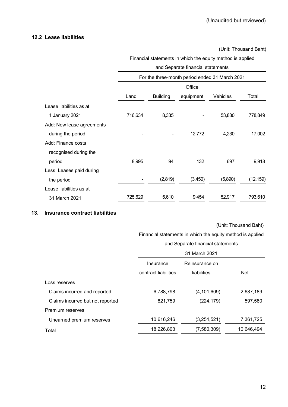### **12.2 Lease liabilities**

(Unit: Thousand Baht)

# Financial statements in which the equity method is applied and Separate financial statements For the three-month period ended 31 March 2021 Land Building **Office** equipment Vehicles Total Lease liabilities as at 1 January 2021 716,634 8,335 - 53,880 778,849 Add: New lease agreements during the period 17,002 Add: Finance costs recognised during the period 8,995 94 132 697 9,918 Less: Leases paid during the period - (2,819) (3,450) (5,890) (12,159) Lease liabilities as at 31 March 2021 725,629 5,610 9,454 52,917 793,610

### **13. Insurance contract liabilities**

#### (Unit: Thousand Baht)

Financial statements in which the equity method is applied

|                                  | and Separate financial statements |                |            |  |  |
|----------------------------------|-----------------------------------|----------------|------------|--|--|
|                                  |                                   | 31 March 2021  |            |  |  |
|                                  | Insurance                         | Reinsurance on |            |  |  |
|                                  | contract liabilities              | liabilities    | <b>Net</b> |  |  |
| Loss reserves                    |                                   |                |            |  |  |
| Claims incurred and reported     | 6,788,798                         | (4, 101, 609)  | 2,687,189  |  |  |
| Claims incurred but not reported | 821,759                           | (224, 179)     | 597,580    |  |  |
| Premium reserves                 |                                   |                |            |  |  |
| Unearned premium reserves        | 10,616,246                        | (3,254,521)    | 7,361,725  |  |  |
| Total                            | 18,226,803                        | (7,580,309)    | 10,646,494 |  |  |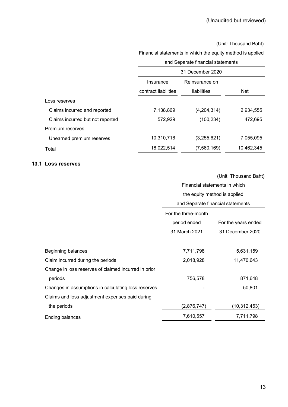### (Unit: Thousand Baht)

### Financial statements in which the equity method is applied

|                                  | and Separate financial statements |                  |            |  |  |
|----------------------------------|-----------------------------------|------------------|------------|--|--|
|                                  |                                   | 31 December 2020 |            |  |  |
|                                  | Insurance                         | Reinsurance on   |            |  |  |
|                                  | contract liabilities              | liabilities      | <b>Net</b> |  |  |
| Loss reserves                    |                                   |                  |            |  |  |
| Claims incurred and reported     | 7,138,869                         | (4,204,314)      | 2,934,555  |  |  |
| Claims incurred but not reported | 572,929                           | (100, 234)       | 472,695    |  |  |
| Premium reserves                 |                                   |                  |            |  |  |
| Unearned premium reserves        | 10,310,716                        | (3,255,621)      | 7,055,095  |  |  |
| Total                            | 18,022,514                        | (7,560,169)      | 10,462,345 |  |  |

## **13.1 Loss reserves**

|                                                      | Financial statements in which |                                   |  |  |
|------------------------------------------------------|-------------------------------|-----------------------------------|--|--|
|                                                      | the equity method is applied  |                                   |  |  |
|                                                      |                               | and Separate financial statements |  |  |
|                                                      | For the three-month           |                                   |  |  |
|                                                      | period ended                  | For the years ended               |  |  |
|                                                      | 31 March 2021                 | 31 December 2020                  |  |  |
|                                                      |                               |                                   |  |  |
| Beginning balances                                   | 7,711,798                     | 5,631,159                         |  |  |
| Claim incurred during the periods                    | 2,018,928                     | 11,470,643                        |  |  |
| Change in loss reserves of claimed incurred in prior |                               |                                   |  |  |
| periods                                              | 756,578                       | 871,648                           |  |  |
| Changes in assumptions in calculating loss reserves  |                               | 50,801                            |  |  |
| Claims and loss adjustment expenses paid during      |                               |                                   |  |  |
| the periods                                          | (2,876,747)                   | (10, 312, 453)                    |  |  |
| <b>Ending balances</b>                               | 7,610,557                     | 7,711,798                         |  |  |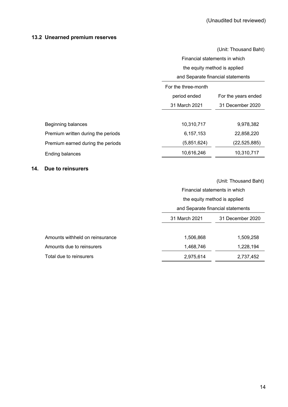# **13.2 Unearned premium reserves**

|                                    |                                   | (Unit: Thousand Baht) |  |
|------------------------------------|-----------------------------------|-----------------------|--|
|                                    | Financial statements in which     |                       |  |
|                                    | the equity method is applied      |                       |  |
|                                    | and Separate financial statements |                       |  |
|                                    | For the three-month               |                       |  |
|                                    | period ended                      | For the years ended   |  |
|                                    | 31 March 2021                     | 31 December 2020      |  |
|                                    |                                   |                       |  |
| Beginning balances                 | 10,310,717                        | 9,978,382             |  |
| Premium written during the periods | 6,157,153                         | 22,858,220            |  |
| Premium earned during the periods  | (5,851,624)                       | (22, 525, 885)        |  |
| <b>Ending balances</b>             | 10,616,246                        | 10,310,717            |  |

### **14. Due to reinsurers**

|                                 |               | Financial statements in which     |  |  |
|---------------------------------|---------------|-----------------------------------|--|--|
|                                 |               | the equity method is applied      |  |  |
|                                 |               | and Separate financial statements |  |  |
|                                 | 31 March 2021 | 31 December 2020                  |  |  |
|                                 |               |                                   |  |  |
| Amounts withheld on reinsurance | 1,506,868     | 1,509,258                         |  |  |
| Amounts due to reinsurers       | 1,468,746     | 1,228,194                         |  |  |
| Total due to reinsurers         | 2,975,614     | 2,737,452                         |  |  |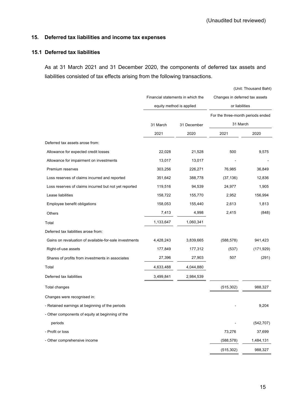### **15. Deferred tax liabilities and income tax expenses**

### **15.1 Deferred tax liabilities**

As at 31 March 2021 and 31 December 2020, the components of deferred tax assets and liabilities consisted of tax effects arising from the following transactions.

|                                                        | Financial statements in which the |                          | Changes in deferred tax assets    |            |  |
|--------------------------------------------------------|-----------------------------------|--------------------------|-----------------------------------|------------|--|
|                                                        |                                   | equity method is applied | or liabilities                    |            |  |
|                                                        |                                   |                          | For the three-month periods ended |            |  |
|                                                        | 31 March                          | 31 December              | 31 March                          |            |  |
|                                                        | 2021                              | 2020                     | 2021                              | 2020       |  |
| Deferred tax assets arose from:                        |                                   |                          |                                   |            |  |
| Allowance for expected credit losses                   | 22,028                            | 21,528                   | 500                               | 9,575      |  |
| Allowance for impairment on investments                | 13,017                            | 13,017                   |                                   |            |  |
| Premium reserves                                       | 303,256                           | 226,271                  | 76,985                            | 36,849     |  |
| Loss reserves of claims incurred and reported          | 351,642                           | 388,778                  | (37, 136)                         | 12,836     |  |
| Loss reserves of claims incurred but not yet reported  | 119,516                           | 94,539                   | 24,977                            | 1,905      |  |
| Lease liabilities                                      | 158,722                           | 155,770                  | 2,952                             | 156,994    |  |
| Employee benefit obligations                           | 158,053                           | 155,440                  | 2,613                             | 1,813      |  |
| Others                                                 | 7,413                             | 4,998                    | 2,415                             | (848)      |  |
| Total                                                  | 1,133,647                         | 1,060,341                |                                   |            |  |
| Deferred tax liabilities arose from:                   |                                   |                          |                                   |            |  |
| Gains on revaluation of available-for-sale investments | 4,428,243                         | 3,839,665                | (588, 578)                        | 941,423    |  |
| Right-of-use assets                                    | 177,849                           | 177,312                  | (537)                             | (171, 929) |  |
| Shares of profits from investments in associates       | 27,396                            | 27,903                   | 507                               | (291)      |  |
| Total                                                  | 4,633,488                         | 4,044,880                |                                   |            |  |
| Deferred tax liabilities                               | 3,499,841                         | 2,984,539                |                                   |            |  |
| Total changes                                          |                                   |                          | (515, 302)                        | 988,327    |  |
| Changes were recognised in:                            |                                   |                          |                                   |            |  |
| - Retained earnings at beginning of the periods        |                                   |                          |                                   | 9,204      |  |
| - Other components of equity at beginning of the       |                                   |                          |                                   |            |  |
| periods                                                |                                   |                          |                                   | (542, 707) |  |
| - Profit or loss                                       |                                   |                          | 73,276                            | 37,699     |  |
| - Other comprehensive income                           |                                   |                          | (588, 578)                        | 1,484,131  |  |
|                                                        |                                   |                          | (515, 302)                        | 988,327    |  |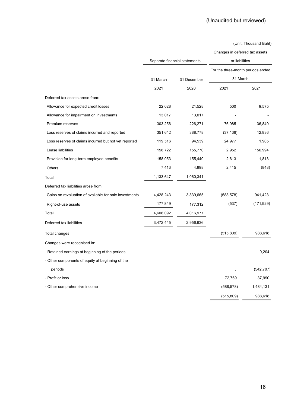(Unit: Thousand Baht)

Changes in deferred tax assets

|                                                        |           | Separate financial statements |                                   | or liabilities |  |  |
|--------------------------------------------------------|-----------|-------------------------------|-----------------------------------|----------------|--|--|
|                                                        |           |                               | For the three-month periods ended |                |  |  |
|                                                        | 31 March  | 31 December                   | 31 March                          |                |  |  |
|                                                        | 2021      | 2020                          | 2021                              | 2021           |  |  |
| Deferred tax assets arose from:                        |           |                               |                                   |                |  |  |
| Allowance for expected credit losses                   | 22,028    | 21,528                        | 500                               | 9,575          |  |  |
| Allowance for impairment on investments                | 13,017    | 13,017                        |                                   |                |  |  |
| Premium reserves                                       | 303,256   | 226,271                       | 76,985                            | 36,849         |  |  |
| Loss reserves of claims incurred and reported          | 351,642   | 388,778                       | (37, 136)                         | 12,836         |  |  |
| Loss reserves of claims incurred but not yet reported  | 119,516   | 94,539                        | 24,977                            | 1,905          |  |  |
| Lease liabilities                                      | 158,722   | 155,770                       | 2,952                             | 156,994        |  |  |
| Provision for long-term employee benefits              | 158,053   | 155,440                       | 2,613                             | 1,813          |  |  |
| Others                                                 | 7,413     | 4,998                         | 2,415                             | (848)          |  |  |
| Total                                                  | 1,133,647 | 1,060,341                     |                                   |                |  |  |
| Deferred tax liabilities arose from:                   |           |                               |                                   |                |  |  |
| Gains on revaluation of available-for-sale investments | 4,428,243 | 3,839,665                     | (588, 578)                        | 941,423        |  |  |
| Right-of-use assets                                    | 177,849   | 177,312                       | (537)                             | (171, 929)     |  |  |
| Total                                                  | 4,606,092 | 4,016,977                     |                                   |                |  |  |
| Deferred tax liabilities                               | 3,472,445 | 2,956,636                     |                                   |                |  |  |
| Total changes                                          |           |                               | (515, 809)                        | 988,618        |  |  |
| Changes were recognised in:                            |           |                               |                                   |                |  |  |
| - Retained earnings at beginning of the periods        |           |                               |                                   | 9,204          |  |  |
| - Other components of equity at beginning of the       |           |                               |                                   |                |  |  |
| periods                                                |           |                               |                                   | (542, 707)     |  |  |
| - Profit or loss                                       |           |                               | 72,769                            | 37,990         |  |  |
| - Other comprehensive income                           |           |                               | (588, 578)                        | 1,484,131      |  |  |
|                                                        |           |                               | (515, 809)                        | 988,618        |  |  |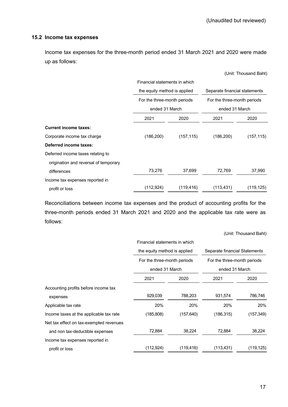(Unit: Thousand Baht)

### **15.2 Income tax expenses**

Income tax expenses for the three-month period ended 31 March 2021 and 2020 were made up as follows:

|                                       | Financial statements in which |            |                               |            |
|---------------------------------------|-------------------------------|------------|-------------------------------|------------|
|                                       | the equity method is applied  |            | Separate financial statements |            |
|                                       | For the three-month periods   |            | For the three-month periods   |            |
|                                       | ended 31 March                |            | ended 31 March                |            |
|                                       | 2021                          | 2020       | 2021                          | 2020       |
| <b>Current income taxes:</b>          |                               |            |                               |            |
| Corporate income tax charge           | (186, 200)                    | (157, 115) | (186, 200)                    | (157, 115) |
| <b>Deferred income taxes:</b>         |                               |            |                               |            |
| Deferred income taxes relating to     |                               |            |                               |            |
| origination and reversal of temporary |                               |            |                               |            |
| differences                           | 73,276                        | 37,699     | 72,769                        | 37,990     |
| Income tax expenses reported in       |                               |            |                               |            |
| profit or loss                        | (112, 924)                    | (119, 416) | (113, 431)                    | (119, 125) |
|                                       |                               |            |                               |            |

Reconciliations between income tax expenses and the product of accounting profits for the three-month periods ended 31 March 2021 and 2020 and the applicable tax rate were as follows:

|                                         | Financial statements in which |            |                               |            |  |
|-----------------------------------------|-------------------------------|------------|-------------------------------|------------|--|
|                                         | the equity method is applied  |            | Separate financial Statements |            |  |
|                                         | For the three-month periods   |            | For the three-month periods   |            |  |
|                                         | ended 31 March                |            | ended 31 March                |            |  |
|                                         | 2021                          | 2020       | 2021                          | 2020       |  |
| Accounting profits before income tax    |                               |            |                               |            |  |
| expenses                                | 929,039                       | 788,203    | 931,574                       | 786,746    |  |
| Applicable tax rate                     | 20%                           | 20%        | 20%                           | 20%        |  |
| Income taxes at the applicable tax rate | (185, 808)                    | (157, 640) | (186, 315)                    | (157, 349) |  |
| Net tax effect on tax-exempted revenues |                               |            |                               |            |  |
| and non tax-deductible expenses         | 72,884                        | 38,224     | 72,884                        | 38,224     |  |
| Income tax expenses reported in         |                               |            |                               |            |  |
| profit or loss                          | (112, 924)                    | (119, 416) | (113, 431)                    | (119, 125) |  |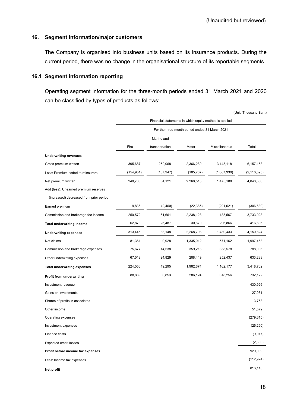### **16. Segment information/major customers**

The Company is organised into business units based on its insurance products. During the current period, there was no change in the organisational structure of its reportable segments.

### **16.1 Segment information reporting**

Operating segment information for the three-month periods ended 31 March 2021 and 2020 can be classified by types of products as follows:

|                                         |                                                |                |                                                        |               | (Unit: Thousand Baht) |
|-----------------------------------------|------------------------------------------------|----------------|--------------------------------------------------------|---------------|-----------------------|
|                                         |                                                |                | Financial statements in which equity method is applied |               |                       |
|                                         | For the three-month period ended 31 March 2021 |                |                                                        |               |                       |
|                                         | Marine and                                     |                |                                                        |               |                       |
|                                         | Fire                                           | transportation | Motor                                                  | Miscellaneous | Total                 |
| <b>Underwriting revenues</b>            |                                                |                |                                                        |               |                       |
| Gross premium written                   | 395,687                                        | 252,068        | 2,366,280                                              | 3,143,118     | 6,157,153             |
| Less: Premium ceded to reinsurers       | (154, 951)                                     | (187, 947)     | (105, 767)                                             | (1,667,930)   | (2, 116, 595)         |
| Net premium written                     | 240,736                                        | 64,121         | 2,260,513                                              | 1,475,188     | 4,040,558             |
| Add (less): Unearned premium reserves   |                                                |                |                                                        |               |                       |
| (increased) decreased from prior period |                                                |                |                                                        |               |                       |
| Earned premium                          | 9,836                                          | (2,460)        | (22, 385)                                              | (291, 621)    | (306, 630)            |
| Commission and brokerage fee income     | 250,572                                        | 61,661         | 2,238,128                                              | 1,183,567     | 3,733,928             |
| <b>Total underwriting income</b>        | 62,873                                         | 26,487         | 30,670                                                 | 296,866       | 416,896               |
| <b>Underwriting expenses</b>            | 313,445                                        | 88,148         | 2,268,798                                              | 1,480,433     | 4,150,824             |
| Net claims                              | 81,361                                         | 9,928          | 1,335,012                                              | 571,162       | 1,997,463             |
| Commission and brokerage expenses       | 75,677                                         | 14,538         | 359,213                                                | 338,578       | 788,006               |
| Other underwriting expenses             | 67,518                                         | 24,829         | 288,449                                                | 252,437       | 633,233               |
| <b>Total underwriting expenses</b>      | 224,556                                        | 49,295         | 1,982,674                                              | 1,162,177     | 3,418,702             |
| Profit from underwriting                | 88,889                                         | 38,853         | 286,124                                                | 318,256       | 732,122               |
| Investment revenue                      |                                                |                |                                                        |               | 430,926               |
| Gains on investments                    |                                                |                |                                                        |               | 27,981                |
| Shares of profits in associates         |                                                |                |                                                        |               | 3,753                 |
| Other income                            |                                                |                |                                                        |               | 51,579                |
| Operating expenses                      |                                                |                |                                                        |               | (279, 615)            |
| Investment expenses                     |                                                |                |                                                        |               | (25, 290)             |
| Finance costs                           |                                                |                |                                                        |               | (9, 917)              |
| <b>Expected credit losses</b>           |                                                |                |                                                        |               | (2,500)               |
| Profit before income tax expenses       |                                                |                |                                                        |               | 929,039               |
| Less: Income tax expenses               |                                                |                |                                                        |               | (112, 924)            |
| Net profit                              |                                                |                |                                                        |               | 816,115               |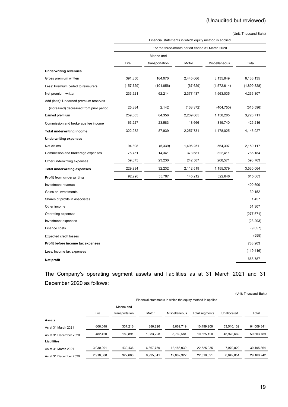# (Unaudited but reviewed)

(Unit: Thousand Baht)

|                                         | Financial statements in which equity method is applied |                |            |               |             |
|-----------------------------------------|--------------------------------------------------------|----------------|------------|---------------|-------------|
|                                         | For the three-month period ended 31 March 2020         |                |            |               |             |
|                                         |                                                        | Marine and     |            |               |             |
|                                         | Fire                                                   | transportation | Motor      | Miscellaneous | Total       |
| <b>Underwriting revenues</b>            |                                                        |                |            |               |             |
| Gross premium written                   | 391,350                                                | 164,070        | 2,445,066  | 3,135,649     | 6,136,135   |
| Less: Premium ceded to reinsurers       | (157, 729)                                             | (101, 856)     | (67, 629)  | (1,572,614)   | (1,899,828) |
| Net premium written                     | 233,621                                                | 62,214         | 2,377,437  | 1,563,035     | 4,236,307   |
| Add (less): Unearned premium reserves   |                                                        |                |            |               |             |
| (increased) decreased from prior period | 25,384                                                 | 2,142          | (138, 372) | (404, 750)    | (515, 596)  |
| Earned premium                          | 259,005                                                | 64,356         | 2,239,065  | 1,158,285     | 3,720,711   |
| Commission and brokerage fee income     | 63,227                                                 | 23,583         | 18,666     | 319,740       | 425,216     |
| <b>Total underwriting income</b>        | 322,232                                                | 87,939         | 2,257,731  | 1,478,025     | 4,145,927   |
| <b>Underwriting expenses</b>            |                                                        |                |            |               |             |
| Net claims                              | 94,808                                                 | (5, 339)       | 1,496,251  | 564,397       | 2,150,117   |
| Commission and brokerage expenses       | 75,751                                                 | 14,341         | 373,681    | 322,411       | 786,184     |
| Other underwriting expenses             | 59,375                                                 | 23,230         | 242,587    | 268,571       | 593,763     |
| <b>Total underwriting expenses</b>      | 229,934                                                | 32,232         | 2,112,519  | 1,155,379     | 3,530,064   |
| Profit from underwriting                | 92,298                                                 | 55,707         | 145,212    | 322,646       | 615,863     |
| Investment revenue                      |                                                        |                |            |               | 400,600     |
| Gains on investments                    |                                                        |                |            |               | 30,152      |
| Shares of profits in associates         |                                                        |                |            |               | 1,457       |
| Other income                            |                                                        |                |            |               | 51,307      |
| Operating expenses                      |                                                        |                |            |               | (277, 671)  |
| Investment expenses                     |                                                        |                |            |               | (23, 293)   |
| Finance costs                           |                                                        |                |            |               | (9,657)     |
| <b>Expected credit losses</b>           |                                                        |                |            |               | (555)       |
| Profit before income tax expenses       |                                                        |                |            |               | 788,203     |
| Less: Income tax expenses               |                                                        |                |            |               | (119, 416)  |
| Net profit                              |                                                        |                |            |               | 668,787     |

The Company's operating segment assets and liabilities as at 31 March 2021 and 31 December 2020 as follows:

|                        |           |                |           |               |                                                            |             | (Unit: Thousand Baht) |
|------------------------|-----------|----------------|-----------|---------------|------------------------------------------------------------|-------------|-----------------------|
|                        |           |                |           |               | Financial statements in which the equity method is applied |             |                       |
|                        |           | Marine and     |           |               |                                                            |             |                       |
|                        | Fire      | transportation | Motor     | Miscellaneous | Total segments                                             | Unallocated | Total                 |
| <b>Assets</b>          |           |                |           |               |                                                            |             |                       |
| As at 31 March 2021    | 606.048   | 337.216        | 886.226   | 8.669.719     | 10.499.209                                                 | 53,510,132  | 64,009,341            |
| As at 31 December 2020 | 482.420   | 189.891        | 1.083.228 | 8.769.581     | 10.525.120                                                 | 48.978.669  | 59,503,789            |
| Liabilities            |           |                |           |               |                                                            |             |                       |
| As at 31 March 2021    | 3,030,901 | 439,436        | 6.867.759 | 12.186.939    | 22.525.035                                                 | 7.970.829   | 30.495.864            |
| As at 31 December 2020 | 2,918,068 | 322.660        | 6,995,641 | 12,082,322    | 22,318,691                                                 | 6,842,051   | 29,160,742            |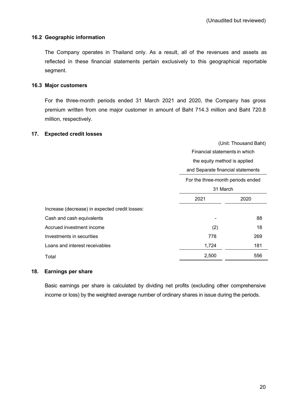### **16.2 Geographic information**

The Company operates in Thailand only. As a result, all of the revenues and assets as reflected in these financial statements pertain exclusively to this geographical reportable segment.

### **16.3 Major customers**

For the three-month periods ended 31 March 2021 and 2020, the Company has gross premium written from one major customer in amount of Baht 714.3 million and Baht 720.8 million, respectively.

### **17. Expected credit losses**

|                                                | (Unit: Thousand Baht)             |     |  |
|------------------------------------------------|-----------------------------------|-----|--|
|                                                | Financial statements in which     |     |  |
|                                                | the equity method is applied      |     |  |
|                                                | and Separate financial statements |     |  |
|                                                | For the three-month periods ended |     |  |
|                                                | 31 March                          |     |  |
|                                                | 2021<br>2020                      |     |  |
| Increase (decrease) in expected credit losses: |                                   |     |  |
| Cash and cash equivalents                      |                                   | 88  |  |
| Accrued investment income                      | (2)                               | 18  |  |
| Investments in securities                      | 778                               | 269 |  |
| Loans and interest receivables                 | 1,724                             | 181 |  |
| Total                                          | 2,500                             | 556 |  |

### **18. Earnings per share**

Basic earnings per share is calculated by dividing net profits (excluding other comprehensive income or loss) by the weighted average number of ordinary shares in issue during the periods.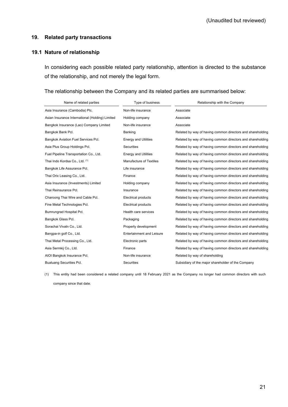### **19. Related party transactions**

### **19.1 Nature of relationship**

In considering each possible related party relationship, attention is directed to the substance of the relationship, and not merely the legal form.

### The relationship between the Company and its related parties are summarised below:

| Name of related parties                         | Type of business                 | Relationship with the Company                              |
|-------------------------------------------------|----------------------------------|------------------------------------------------------------|
| Asia Insurance (Cambodia) Plc.                  | Non-life insurance               | Associate                                                  |
| Asian Insurance International (Holding) Limited | Holding company                  | Associate                                                  |
| Bangkok Insurance (Lao) Company Limited         | Non-life insurance               | Associate                                                  |
| Bangkok Bank Pcl.                               | Banking                          | Related by way of having common directors and shareholding |
| Bangkok Aviation Fuel Services Pcl.             | <b>Energy and Utilities</b>      | Related by way of having common directors and shareholding |
| Asia Plus Group Holdings Pcl.                   | <b>Securities</b>                | Related by way of having common directors and shareholding |
| Fuel Pipeline Transportation Co., Ltd.          | <b>Energy and Utilities</b>      | Related by way of having common directors and shareholding |
| Thai Indo Kordsa Co., Ltd. (1)                  | <b>Manufacture of Textiles</b>   | Related by way of having common directors and shareholding |
| Bangkok Life Assurance Pcl.                     | Life insurance                   | Related by way of having common directors and shareholding |
| Thai Orix Leasing Co., Ltd.                     | Finance                          | Related by way of having common directors and shareholding |
| Asia Insurance (Investments) Limited            | Holding company                  | Related by way of having common directors and shareholding |
| Thai Reinsurance Pcl.                           | Insurance                        | Related by way of having common directors and shareholding |
| Charoong Thai Wire and Cable Pcl.               | <b>Electrical products</b>       | Related by way of having common directors and shareholding |
| Fine Metal Technologies Pcl.                    | <b>Electrical products</b>       | Related by way of having common directors and shareholding |
| Bumrungrad Hospital Pcl.                        | Health care services             | Related by way of having common directors and shareholding |
| Bangkok Glass Pcl.                              | Packaging                        | Related by way of having common directors and shareholding |
| Sorachai Vivatn Co., Ltd.                       | Property development             | Related by way of having common directors and shareholding |
| Bangpa-in golf Co., Ltd.                        | <b>Entertainment and Leisure</b> | Related by way of having common directors and shareholding |
| Thai Metal Processing Co., Ltd.                 | Electronic parts                 | Related by way of having common directors and shareholding |
| Asia Sermkij Co., Ltd.                          | Finance                          | Related by way of having common directors and shareholding |
| AIOI Bangkok Insurance Pcl.                     | Non-life insurance               | Related by way of shareholding                             |
| Bualuang Securities Pcl.                        | <b>Securities</b>                | Subsidiary of the major shareholder of the Company         |

(1) This entity had been considered a related company until 18 February 2021 as the Company no longer had common directors with such company since that date.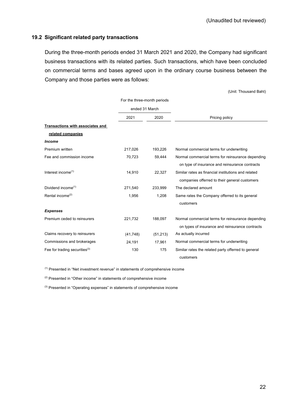### **19.2 Significant related party transactions**

During the three-month periods ended 31 March 2021 and 2020, the Company had significant business transactions with its related parties. Such transactions, which have been concluded on commercial terms and bases agreed upon in the ordinary course business between the Company and those parties were as follows:

(Unit: Thousand Baht)

|                                  | For the three-month periods |           |                                                     |
|----------------------------------|-----------------------------|-----------|-----------------------------------------------------|
|                                  | ended 31 March              |           |                                                     |
|                                  | 2021<br>2020                |           | Pricing policy                                      |
| Transactions with associates and |                             |           |                                                     |
| related companies                |                             |           |                                                     |
| <b>Income</b>                    |                             |           |                                                     |
| Premium written                  | 217,026                     | 193,226   | Normal commercial terms for underwriting            |
| Fee and commission income        | 70,723                      | 59,444    | Normal commercial terms for reinsurance depending   |
|                                  |                             |           | on type of insurance and reinsurance contracts      |
| Interest income <sup>(1)</sup>   | 14,910                      | 22,327    | Similar rates as financial institutions and related |
|                                  |                             |           | companies offerred to their general customers       |
| Dividend income <sup>(1)</sup>   | 271,540                     | 233,999   | The declared amount                                 |
| Rental income <sup>(2)</sup>     | 1,956                       | 1,208     | Same rates the Company offerred to its general      |
|                                  |                             |           | customers                                           |
| <b>Expenses</b>                  |                             |           |                                                     |
| Premium ceded to reinsurers      | 221,732                     | 188,097   | Normal commercial terms for reinsurance depending   |
|                                  |                             |           | on types of insurance and reinsurance contracts     |
| Claims recovery to reinsurers    | (41, 748)                   | (51, 213) | As actually incurred                                |
| Commissions and brokerages       | 24,191                      | 17,961    | Normal commercial terms for underwriting            |
| Fee for trading securities $(3)$ | 130                         | 175       | Similar rates the related party offerred to general |
|                                  |                             |           | customers                                           |

(1) Presented in "Net investment revenue" in statements of comprehensive income

 $(2)$  Presented in "Other income" in statements of comprehensive income

(3) Presented in "Operating expenses" in statements of comprehensive income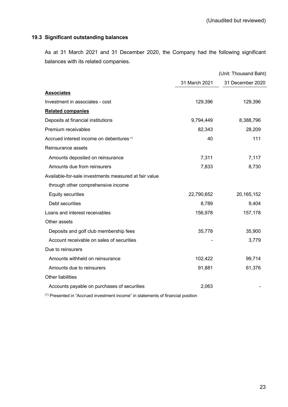### **19.3 Significant outstanding balances**

As at 31 March 2021 and 31 December 2020, the Company had the following significant balances with its related companies.

|                                                       |               | (Unit: Thousand Baht) |
|-------------------------------------------------------|---------------|-----------------------|
|                                                       | 31 March 2021 | 31 December 2020      |
| <b>Associates</b>                                     |               |                       |
| Investment in associates - cost                       | 129,396       | 129,396               |
| <b>Related companies</b>                              |               |                       |
| Deposits at financial institutions                    | 9,794,449     | 8,388,796             |
| Premium receivables                                   | 82,343        | 28,209                |
| Accrued interest income on debentures <sup>(1)</sup>  | 40            | 111                   |
| Reinsurance assets                                    |               |                       |
| Amounts deposited on reinsurance                      | 7,311         | 7,117                 |
| Amounts due from reinsurers                           | 7,833         | 8,730                 |
| Available-for-sale investments measured at fair value |               |                       |
| through other comprehensive income                    |               |                       |
| <b>Equity securities</b>                              | 22,790,652    | 20, 165, 152          |
| Debt securities                                       | 8,789         | 9,404                 |
| Loans and interest receivables                        | 156,978       | 157,178               |
| Other assets                                          |               |                       |
| Deposits and golf club membership fees                | 35,778        | 35,900                |
| Account receivable on sales of securities             |               | 3,779                 |
| Due to reinsurers                                     |               |                       |
| Amounts withheld on reinsurance                       | 102,422       | 99,714                |
| Amounts due to reinsurers                             | 91,881        | 61,376                |
| <b>Other liabilities</b>                              |               |                       |
| Accounts payable on purchases of securities           | 2,063         |                       |
|                                                       |               |                       |

(1) Presented in "Accrued investment income" in statements of financial position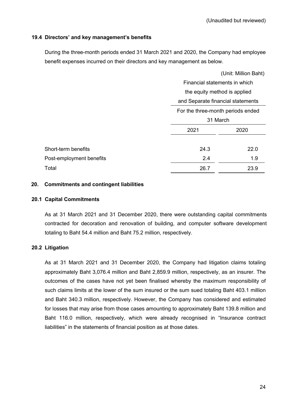### **19.4 Directors' and key management's benefits**

During the three-month periods ended 31 March 2021 and 2020, the Company had employee benefit expenses incurred on their directors and key management as below.

|                          | (Unit: Million Baht)              |      |  |
|--------------------------|-----------------------------------|------|--|
|                          | Financial statements in which     |      |  |
|                          | the equity method is applied      |      |  |
|                          | and Separate financial statements |      |  |
|                          | For the three-month periods ended |      |  |
|                          | 31 March                          |      |  |
|                          | 2021                              | 2020 |  |
|                          |                                   |      |  |
| Short-term benefits      | 24.3                              | 22.0 |  |
| Post-employment benefits | 2.4                               | 1.9  |  |
| Total                    | 26.7                              | 23.9 |  |

### **20. Commitments and contingent liabilities**

### **20.1 Capital Commitments**

As at 31 March 2021 and 31 December 2020, there were outstanding capital commitments contracted for decoration and renovation of building, and computer software development totaling to Baht 54.4 million and Baht 75.2 million, respectively.

### **20.2 Litigation**

As at 31 March 2021 and 31 December 2020, the Company had litigation claims totaling approximately Baht 3,076.4 million and Baht 2,859.9 million, respectively, as an insurer. The outcomes of the cases have not yet been finalised whereby the maximum responsibility of such claims limits at the lower of the sum insured or the sum sued totaling Baht 403.1 million and Baht 340.3 million, respectively. However, the Company has considered and estimated for losses that may arise from those cases amounting to approximately Baht 139.8 million and Baht 116.0 million, respectively, which were already recognised in "Insurance contract liabilities" in the statements of financial position as at those dates.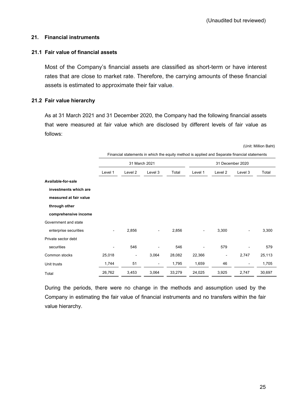### **21. Financial instruments**

### **21.1 Fair value of financial assets**

Most of the Company's financial assets are classified as short-term or have interest rates that are close to market rate. Therefore, the carrying amounts of these financial assets is estimated to approximate their fair value.

### **21.2 Fair value hierarchy**

As at 31 March 2021 and 31 December 2020, the Company had the following financial assets that were measured at fair value which are disclosed by different levels of fair value as follows:

(Unit: Million Baht)

|                        | Financial statements in which the equity method is applied and Separate financial statements |                          |                          |        |                  |                          |         |        |
|------------------------|----------------------------------------------------------------------------------------------|--------------------------|--------------------------|--------|------------------|--------------------------|---------|--------|
|                        | 31 March 2021                                                                                |                          |                          |        | 31 December 2020 |                          |         |        |
|                        | Level 1                                                                                      | Level 2                  | Level 3                  | Total  | Level 1          | Level 2                  | Level 3 | Total  |
| Available-for-sale     |                                                                                              |                          |                          |        |                  |                          |         |        |
| investments which are  |                                                                                              |                          |                          |        |                  |                          |         |        |
| measured at fair value |                                                                                              |                          |                          |        |                  |                          |         |        |
| through other          |                                                                                              |                          |                          |        |                  |                          |         |        |
| comprehensive income   |                                                                                              |                          |                          |        |                  |                          |         |        |
| Government and state   |                                                                                              |                          |                          |        |                  |                          |         |        |
| enterprise securities  |                                                                                              | 2,856                    | $\overline{\phantom{a}}$ | 2,856  | -                | 3,300                    |         | 3,300  |
| Private sector debt    |                                                                                              |                          |                          |        |                  |                          |         |        |
| securities             |                                                                                              | 546                      | $\overline{\phantom{0}}$ | 546    |                  | 579                      |         | 579    |
| Common stocks          | 25,018                                                                                       | $\overline{\phantom{a}}$ | 3,064                    | 28,082 | 22,366           | $\overline{\phantom{a}}$ | 2,747   | 25,113 |
| Unit trusts            | 1,744                                                                                        | 51                       | ٠                        | 1,795  | 1,659            | 46                       |         | 1,705  |
| Total                  | 26,762                                                                                       | 3,453                    | 3,064                    | 33,279 | 24,025           | 3,925                    | 2,747   | 30,697 |

During the periods, there were no change in the methods and assumption used by the Company in estimating the fair value of financial instruments and no transfers within the fair value hierarchy.